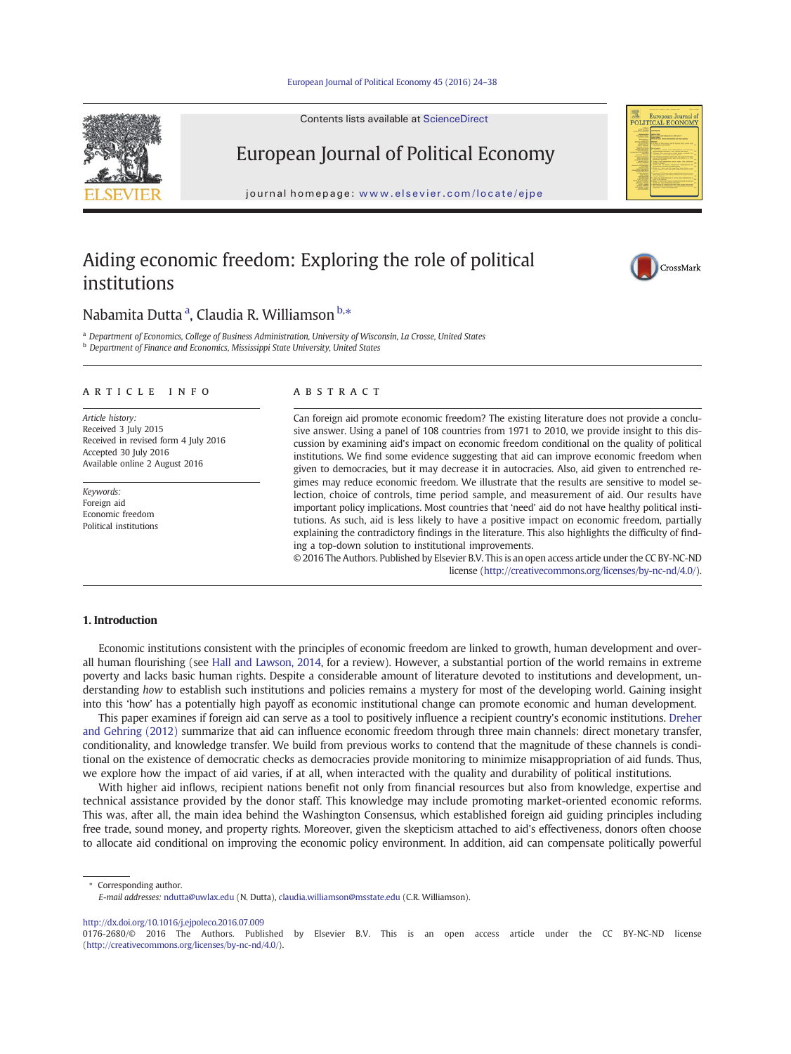#### European Journal of Political Economy 45 (2016) 24–38



# European Journal [of](http://www.sciencedirect.com/science/journal/01762680) [Politic](http://www.sciencedirect.com/science/journal/01762680)al Economy

journal homepage: www.elsevier.com/locate/ejpe

## Aiding economic freedom: Exploring the role of political institutions



## Nabamita Dutta <sup>a</sup>, Claudia R. Williamson <sup>b,</sup>\*

a Department of Economics, College of Business Administration, University of Wisconsin, La Crosse, United States **b** Department of Finance and Economics, Mississippi State University, United States

#### article info abstract

Article history: Received 3 July 2015 Received in revised form 4 July 2016 Accepted 30 July 2016 Available online 2 August 2016

Keywords: Foreign aid Economic freedom Political institutions

Can foreign aid promote economic freedom? The existing literature does not provide a conclusive answer. Using a panel of 108 countries from 1971 to 2010, we provide insight to this discussion by examining aid's impact on economic freedom conditional on the quality of political institutions. We find some evidence suggesting that aid can improve economic freedom when given to democracies, but it may decrease it in autocracies. Also, aid given to entrenched regimes may reduce economic freedom. We illustrate that the results are sensitive to model selection, choice of controls, time period sample, and measurement of aid. Our results have important policy implications. Most countries that 'need' aid do not have healthy political institutions. As such, aid is less likely to have a positive impact on economic freedom, partially explaining the contradictory findings in the literature. This also highlights the difficulty of finding a top-down solution to institutional improvements.

© 2016 The Authors. Published by Elsevier B.V. This is an open access article under the CC BY-NC-ND license (http://creativecommons.org/licenses/by-nc-nd/4.0/).

#### 1. Introduction

Economic institutions consistent with the principles of economic freedom are linked to growth, human development and overall human flourishing (see Hall and Lawson, 2014, for a review). However, a substantial portion of the world remains in extreme poverty and lacks basic human rights. Despite a considerable amount of literature devoted to institutions and development, understanding how to establish such institutions and policies remains a mystery for most of the developing world. Gaining insight into this 'how' has [a](#page-14-0) [potentially](#page-14-0) [high](#page-14-0) [payo](#page-14-0)ff as economic institutional change can promote economic and human development.

This paper examines if foreign aid can serve as a tool to positively influence a recipient country's economic institutions. Dreher and Gehring (2012) summarize that aid can influence economic freedom through three main channels: direct monetary transfer, conditionality, and knowledge transfer. We build from previous works to contend that the magnitude of these channels is condi[tional on the](#page-14-0) existence of democratic checks as democracies provide monitoring to minimize misappropriation of a[id](#page-14-0) [funds](#page-14-0). Thus, we explore how the impact of aid varies, if at all, when interacted with the quality and durability of political institutions.

With higher aid inflows, recipient nations benefit not only from financial resources but also from knowledge, expertise and technical assistance provided by the donor staff. This knowledge may include promoting market-oriented economic reforms. This was, after all, the main idea behind the Washington Consensus, which established foreign aid guiding principles including free trade, sound money, and property rights. Moreover, given the skepticism attached to aid's effectiveness, donors often choose to allocate aid conditional on improving the economic policy environment. In addition, aid can compensate politically powerful

⁎ Corresponding author.

http://dx.doi.org/10.1016/j.ejpoleco.2016.07.009

E-mail addresses: ndutta@uwlax.edu (N. Dutta), claudia.williamson@msstate.edu (C.R. Williamson).

<sup>0176-2680/</sup>[© 2016 The](mailto:ndutta@uwlax.edu) Authors. [Published by Elsevier B.V](mailto:claudia.williamson@msstate.edu). This is an open access article under the CC BY-NC-ND license (http://creativecommons.org/licenses/by-nc-nd/4.0/).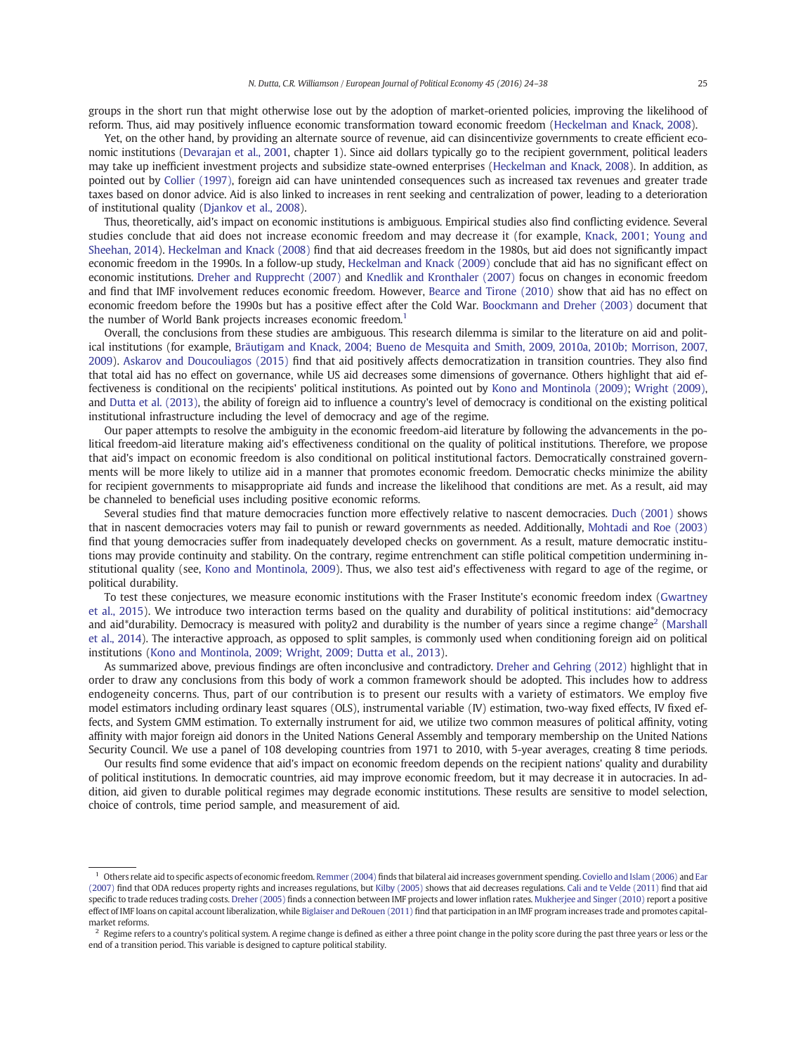groups in the short run that might otherwise lose out by the adoption of market-oriented policies, improving the likelihood of reform. Thus, aid may positively influence economic transformation toward economic freedom (Heckelman and Knack, 2008).

Yet, on the other hand, by providing an alternate source of revenue, aid can disincentivize governments to create efficient economic institutions (Devarajan et al., 2001, chapter 1). Since aid dollars typically go to the [recipient government, politic](#page-14-0)al leaders may take up inefficient investment projects and subsidize state-owned enterprises (Heckelman and Knack, 2008). In addition, as pointed out by Collier (1997), foreign aid can have unintended consequences such as increased tax revenues and greater trade taxes based [on](#page-13-0) [donor](#page-13-0) [advice.](#page-13-0) [Aid](#page-13-0) [is](#page-13-0) also linked to increases in rent seeking a[nd centralization of power, lea](#page-14-0)ding to a deterioration of institutional quality (Djankov et al., 2008).

Thus, [theoretically,](#page-13-0) [a](#page-13-0)id's impact on economic institutions is ambiguous. Empirical studies also find conflicting evidence. Several studies conclude that aid does not increase economic freedom and may decrease it (for example, Knack, 2001; Young and Sheehan, 2014). [Heckelman](#page-13-0) [and](#page-13-0) [Knac](#page-13-0)k (2008) find that aid decreases freedom in the 1980s, but aid does not significantly impact economic freedom in the 1990s. In a follow-up study, Heckelman and Knack (2009) conclude that aid has no significant effect on [econom](#page-14-0)ic institutions. Dreher and Rupprecht (2007) and Knedlik and Kronthaler (2007) focus [on](#page-14-0) [changes](#page-14-0) [in](#page-14-0) [economic](#page-14-0) [fr](#page-14-0)eedom and find [that](#page-14-0) [IMF](#page-14-0) [involvement](#page-14-0) [reduces](#page-14-0) economic freedom. However, Bearce and Tirone (2010) show that aid has no effect on economic freedom before the 1990s but has a [positive effect after the Cold War.](#page-14-0) Boockmann and Dreher (2003) document that the number of [World](#page-14-0) [Bank](#page-14-0) [projects](#page-14-0) [increases](#page-14-0) economic freedom.<sup>1</sup>

Overall, the conclusions from these studies are ambiguous. T[his](#page-13-0) [research dilemma is similar to the liter](#page-13-0)ature on aid and political institutions (for example, Bräutigam and Knack, 2004; Bueno de Mesquita and Smith, 2009, 2010a, 2010b; Morrison, 2007, 2009). Askarov and Doucouliagos (2015) find that aid positively affects democratization in transition countries. They also find that total aid has no ef[fect on governance, while US aid decreases some dimensions of governance. Others highlight that](#page-13-0) aid ef[fectiveness is conditional on the re](#page-13-0)cipients' political institutions. As pointed out by Kono and Montinola (2009); Wright (2009), and Dutta et al. (2013), the ability of foreign aid to influence a country's level of democracy is conditional on the existing political institutional infrastructure including the level of democracy and age of the regime.

Our paper attempts to resolve the ambiguity in the economic freedom-aid [literature](#page-14-0) [by](#page-14-0) [following](#page-14-0) [the](#page-14-0) [a](#page-14-0)d[vancements](#page-14-0) [in](#page-14-0) the po[litical](#page-14-0) [freedom-a](#page-14-0)id literature making aid's effectiveness conditional on the quality of political institutions. Therefore, we propose that aid's impact on economic freedom is also conditional on political institutional factors. Democratically constrained governments will be more likely to utilize aid in a manner that promotes economic freedom. Democratic checks minimize the ability for recipient governments to misappropriate aid funds and increase the likelihood that conditions are met. As a result, aid may be channeled to beneficial uses including positive economic reforms.

Several studies find that mature democracies function more effectively relative to nascent democracies. Duch (2001) shows that in nascent democracies voters may fail to punish or reward governments as needed. Additionally, Mohtadi and Roe (2003) find that young democracies suffer from inadequately developed checks on government. As a result, mature democratic institutions may provide continuity and stability. On the contrary, regime entrenchment can stifle politi[cal competition undermin](#page-14-0)ing institutional quality (see, Kono and Montinola, 2009). Thus, we also test aid's effectiveness with regard to age of the regime, or political durability.

To test these conjectures, we measure economic institutions with the Fraser Institute's economic freedom index (Gwartney et al., 2015). We [introduce](#page-14-0) [two](#page-14-0) [interaction](#page-14-0) terms based on the quality and durability of political institutions: aid\*democracy and aid\*durability. Democracy is measured with polity2 and durability is the number of years since a regime change<sup>2</sup> (Marshall [et al.](#page-14-0), 2014). The interactive approach, as opposed to split samples, is commonly used when conditioning foreig[n](#page-14-0) [aid](#page-14-0) [on](#page-14-0) [p](#page-14-0)olitical institutions (Kono and Montinola, 2009; Wright, 2009; Dutta et al., 2013).

As summarized above, previous findings are often inconclusive and contradictory. Dreher and Gehring (2012) [highlight](#page-14-0) that in [orde](#page-14-0)r [to draw any conclusions from this body of work a common](#page-14-0) framework should be adopted. This includes how to address endogeneity concerns. Thus, part of our contribution is to present our res[ults with a variety of estim](#page-14-0)ators. We employ five model estimators including ordinary least squares (OLS), instrumental variable (IV) estimation, two-way fixed effects, IV fixed effects, and System GMM estimation. To externally instrument for aid, we utilize two common measures of political affinity, voting affinity with major foreign aid donors in the United Nations General Assembly and temporary membership on the United Nations Security Council. We use a panel of 108 developing countries from 1971 to 2010, with 5-year averages, creating 8 time periods.

Our results find some evidence that aid's impact on economic freedom depends on the recipient nations' quality and durability of political institutions. In democratic countries, aid may improve economic freedom, but it may decrease it in autocracies. In addition, aid given to durable political regimes may degrade economic institutions. These results are sensitive to model selection, choice of controls, time period sample, and measurement of aid.

<sup>&</sup>lt;sup>1</sup> Others relate aid to specific aspects of economic freedom. Remmer (2004) finds that bilateral aid increases government spending. Coviello and Islam (2006) and Ear (2007) find that ODA reduces property rights and increases regulations, but Kilby (2005) shows that aid decreases regulations. Cali and te Velde (2011) find that aid specific to trade reduces trading costs. Dreher (2005) finds a connection between IMF projects and lower inflation rates. Mukherjee and Singer (2010) report a positive effect of IMF loans on capital account liberalization, while [Biglaiser an](#page-14-0)d DeRouen (2011) find that participation in an IMF pro[gram increases trade and p](#page-13-0)ro[mote](#page-14-0)s capitalmarket reforms.

Regime refers to a count[ry's political sys](#page-13-0)tem. A regime change is defined as either a three point change in t[he polity score during the pas](#page-14-0)t three years or less or the end of a transition period. This variable is desig[ned to capture political stabilit](#page-13-0)y.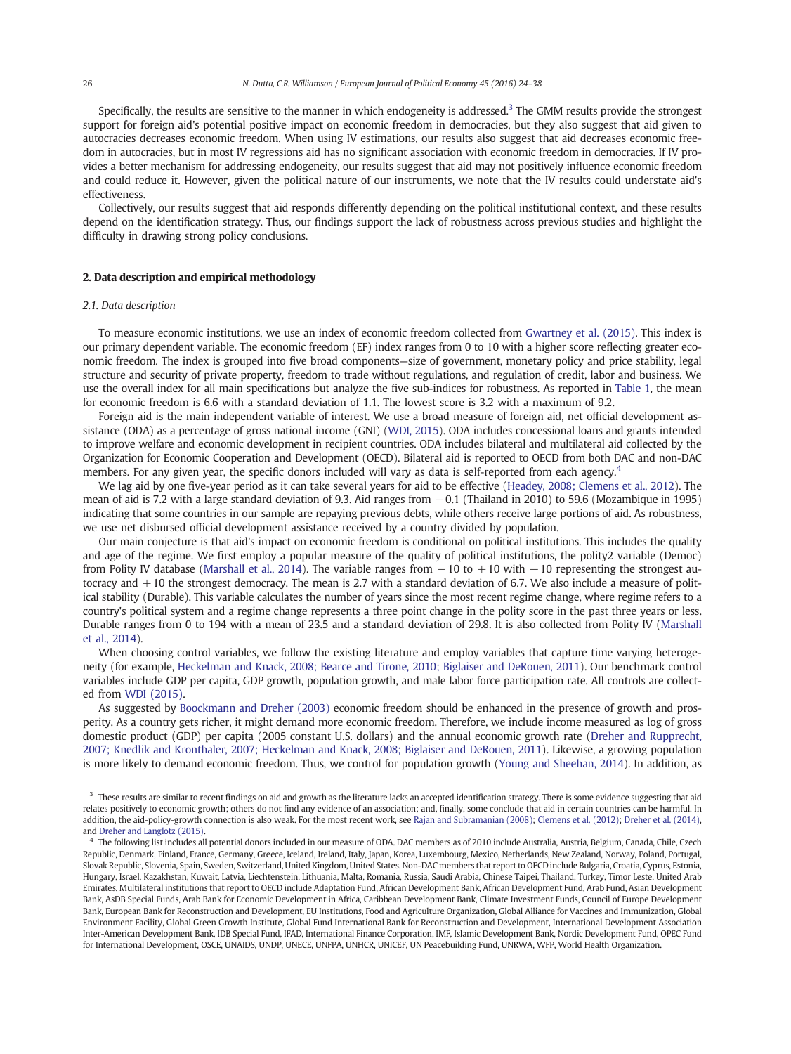Specifically, the results are sensitive to the manner in which endogeneity is addressed. $3$  The GMM results provide the strongest support for foreign aid's potential positive impact on economic freedom in democracies, but they also suggest that aid given to autocracies decreases economic freedom. When using IV estimations, our results also suggest that aid decreases economic freedom in autocracies, but in most IV regressions aid has no significant association with economic freedom in democracies. If IV provides a better mechanism for addressing endogeneity, our results suggest that aid may not positively influence economic freedom and could reduce it. However, given the political nature of our instruments, we note that the IV results could understate aid's effectiveness.

Collectively, our results suggest that aid responds differently depending on the political institutional context, and these results depend on the identification strategy. Thus, our findings support the lack of robustness across previous studies and highlight the difficulty in drawing strong policy conclusions.

#### 2. Data description and empirical methodology

#### 2.1. Data description

To measure economic institutions, we use an index of economic freedom collected from Gwartney et al. (2015). This index is our primary dependent variable. The economic freedom (EF) index ranges from 0 to 10 with a higher score reflecting greater economic freedom. The index is grouped into five broad components—size of governme[nt, monetary policy and](#page-14-0) price stability, legal structure and security of private property, freedom to trade without regulations, and regulation of credit, labor and business. We use the overall index for all main specifications but analyze the five sub-indices for robustness. As reported in Table 1, the mean for economic freedom is 6.6 with a standard deviation of 1.1. The lowest score is 3.2 with a maximum of 9.2.

Foreign aid is the main independent variable of interest. We use a broad measure of foreign aid, net official development assistance (ODA) as a percentage of gross national income (GNI) (WDI, 2015). ODA includes concessional l[oans](#page-3-0) [an](#page-3-0)d grants intended to improve welfare and economic development in recipient countries. ODA includes bilateral and multilateral aid collected by the Organization for Economic Cooperation and Development (OECD). Bilateral aid is reported to OECD from both DAC and non-DAC members. For any given year, the specific donors includ[ed](#page-14-0) [will](#page-14-0) [var](#page-14-0)y as data is self-reported from each agency.<sup>4</sup>

We lag aid by one five-year period as it can take several years for aid to be effective (Headey, 2008; Clemens et al., 2012). The mean of aid is 7.2 with a large standard deviation of 9.3. Aid ranges from −0.1 (Thailand in 2010) to 59.6 (Mozambique in 1995) indicating that some countries in our sample are repaying previous debts, while ot[hers receive large portions of aid. A](#page-14-0)s robustness, we use net disbursed official development assistance received by a country divided by population.

Our main conjecture is that aid's impact on economic freedom is conditional on political institutions. This includes the quality and age of the regime. We first employ a popular measure of the quality of political institutions, the polity2 variable (Democ) from Polity IV database (Marshall et al., 2014). The variable ranges from  $-10$  to  $+10$  with  $-10$  representing the strongest autocracy and +10 the strongest democracy. The mean is 2.7 with a standard deviation of 6.7. We also include a measure of political stability (Durable). This variable calculates the number of years since the most recent regime change, where regime refers to a country's political [system](#page-14-0) [and](#page-14-0) [a](#page-14-0) [regime](#page-14-0) change represents a three point change in the polity score in the past three years or less. Durable ranges from 0 to 194 with a mean of 23.5 and a standard deviation of 29.8. It is also collected from Polity IV (Marshall et al., 2014).

When choosing control variables, we follow the existing literature and employ variables that capture time varying heteroge[neity](#page-14-0) (for example, Heckelman and Knack, 2008; Bearce and Tirone, 2010; Biglaiser and DeRouen, 2011). Our be[nchmark](#page-14-0) control variables include GDP per capita, GDP growth, population growth, and male labor force participation rate. All controls are collected from WDI (2015).

As suggested by Boockmann and Dreher (2003) [economic](#page-14-0) [freedom](#page-14-0) [should](#page-14-0) [be](#page-14-0) [enhanced](#page-14-0) [in](#page-14-0) [th](#page-14-0)e presence of growth and prosp[erity. As a co](#page-14-0)untry gets richer, it might demand more economic freedom. Therefore, we include income measured as log of gross domestic pr[oduct \(GDP\) per capita \(2005 co](#page-13-0)nstant U.S. dollars) and the annual economic growth rate (Dreher and Rupprecht, 2007; Knedlik and Kronthaler, 2007; Heckelman and Knack, 2008; Biglaiser and DeRouen, 2011). Likewise, a growing population is more likely to demand economic freedom. Thus, we control for population growth (Young and [Sheehan, 2014\). In addit](#page-14-0)ion, as

<sup>&</sup>lt;sup>3</sup> These results are similar to recent findings on aid and growth as the literature lacks an accepted identifi[cation strategy. There is some](#page-14-0) evidence suggesting that aid relates positively to economic growth; others do not find any evidence of an association; and, finally, some conclude that aid in certain countries can be harmful. In addition, the aid-policy-growth connection is also weak. For the most recent work, see Rajan and Subramanian (2008); Clemens et al. (2012); Dreher et al. (2014), and Dreher and Langlotz (2015).

<sup>4</sup> The following list includes all potential donors included in our measure of ODA. DAC members as of 2010 include Australia, Austria, Belgium, Canada, Chile, Czech Republic, Denmark, Finland, France, Germany, Greece, Iceland, Ireland, Italy, Ja[pan, Korea, Luxembourg, Mexico,](#page-14-0) [Netherlands, New Zeal](#page-13-0)[and, Norway, Poland,](#page-14-0) Portugal, [Slovak Republic, Sloveni](#page-14-0)a, Spain, Sweden, Switzerland, United Kingdom, United States. Non-DAC members that report to OECD include Bulgaria, Croatia, Cyprus, Estonia, Hungary, Israel, Kazakhstan, Kuwait, Latvia, Liechtenstein, Lithuania, Malta, Romania, Russia, Saudi Arabia, Chinese Taipei, Thailand, Turkey, Timor Leste, United Arab Emirates. Multilateral institutions that report to OECD include Adaptation Fund, African Development Bank, African Development Fund, Arab Fund, Asian Development Bank, AsDB Special Funds, Arab Bank for Economic Development in Africa, Caribbean Development Bank, Climate Investment Funds, Council of Europe Development Bank, European Bank for Reconstruction and Development, EU Institutions, Food and Agriculture Organization, Global Alliance for Vaccines and Immunization, Global Environment Facility, Global Green Growth Institute, Global Fund International Bank for Reconstruction and Development, International Development Association Inter-American Development Bank, IDB Special Fund, IFAD, International Finance Corporation, IMF, Islamic Development Bank, Nordic Development Fund, OPEC Fund for International Development, OSCE, UNAIDS, UNDP, UNECE, UNFPA, UNHCR, UNICEF, UN Peacebuilding Fund, UNRWA, WFP, World Health Organization.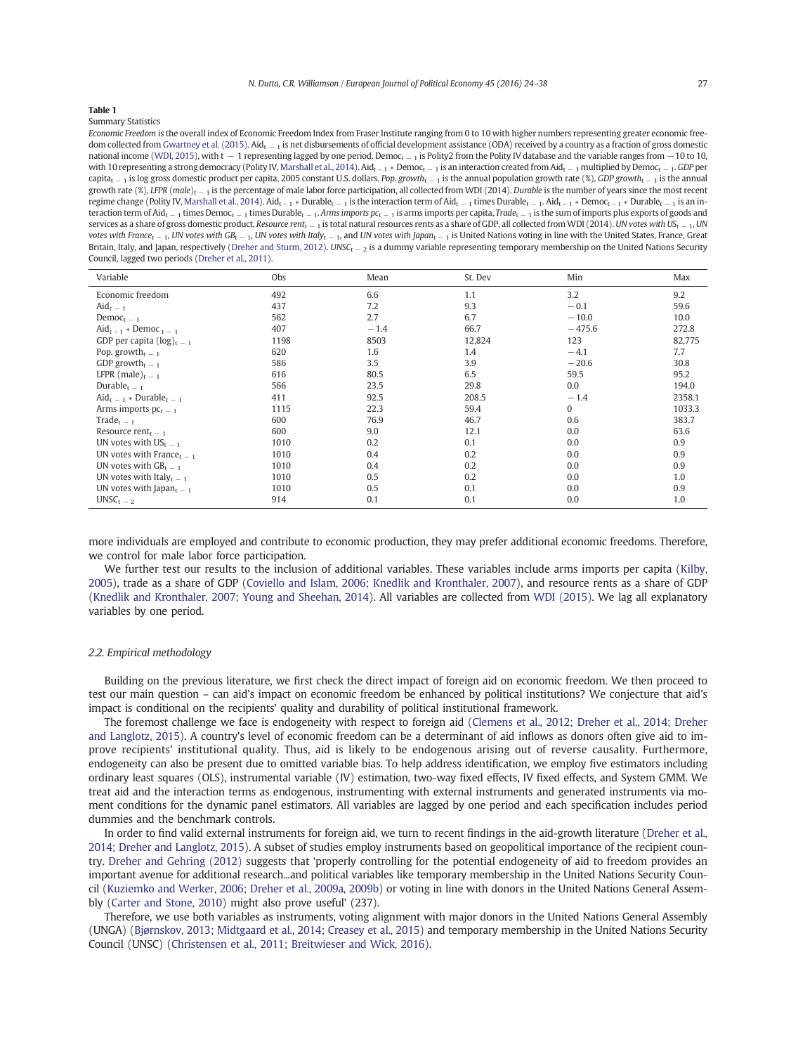<span id="page-3-0"></span>Summary Statistics

Economic Freedom is the overall index of Economic Freedom Index from Fraser Institute ranging from 0 to 10 with higher numbers representing greater economic freedom collected from Gwartney et al. (2015). Aid<sub>t −1</sub> is net disbursements of official development assistance (ODA) received by a country as a fraction of gross domestic national income (WDI, 2015), with t − 1 representing lagged by one period. Democ<sub>t − 1</sub> is Polity2 from the Polity IV database and the variable ranges from −10 to 10, with 10 representing a strong democracy (Polity IV, Marshall et al., 2014). Aid<sub>t -1</sub> ∗ Democ<sub>t − 1</sub> is an interaction created from Aid<sub>t − 1</sub> multiplied by Democ<sub>t − 1</sub>. GDP per capita<sub>t − 1</sub> [is log gross domestic pr](#page-14-0)oduct per capita, 2005 constant U.S. dollars. Pop. growth<sub>t − 1</sub> is the annual population growth rate (%), GDP growth<sub>t − 1</sub> is the annual growth [rate \(%\),](#page-14-0) LFPR (male)<sub>t −1</sub> is the percentage of male labor force participation, all collected from WDI (2014). Durable is the number of years since the most recent regime change (Polity IV, Marshall et al., 2014). Aid<sub>t - 1</sub> ∗ Durable<sub>t - 1</sub> is the interaction term of Aid<sub>t - 1</sub> times Durable<sub>t - 1</sub>. Aid<sub>t - 1</sub> \* Democ<sub>t - 1</sub> \* Durable<sub>t - 1</sub> is an interaction term of Aid<sub>t − 1</sub> times Democ<sub>t − 1</sub> times Durable<sub>t − 1</sub>. Arms imports  $pc$ <sub>t − 1</sub> is arms imports per capita, Trade<sub>t − 1</sub> is the sum of imports plus exports of goods and services as a share of gross domestic product, Resource rent<sub>t −1</sub> is total natural resources rents as a share of GDP, all collected from WDI (2014). UN votes with US<sub>t −1</sub>, UN votes with France<sub>t</sub> − 1, [UN votes with G](#page-14-0)B<sub>t</sub> − 1, UN votes with Italy<sub>t</sub> − 1, and UN votes with Japan<sub>t</sub> − 1 is United Nations voting in line with the United States, France, Great Britain, Italy, and Japan, respectively (Dreher and Sturm, 2012). UNSC<sub>t − 2</sub> is a dummy variable representing temporary membership on the United Nations Security Council, lagged two periods (Dreher et al., 2011).

| Variable                                          | Obs  | Mean   | St. Dev | Min          | Max    |
|---------------------------------------------------|------|--------|---------|--------------|--------|
| Economic freedom                                  | 492  | 6.6    | 1.1     | 3.2          | 9.2    |
| $\text{Aid}_{t-1}$                                | 437  | 7.2    | 9.3     | $-0.1$       | 59.6   |
| Democ <sub>t</sub> $-1$                           | 562  | 2.7    | 6.7     | $-10.0$      | 10.0   |
| $Aid_{t-1} * Democ_{t-1}$                         | 407  | $-1.4$ | 66.7    | $-475.6$     | 272.8  |
| GDP per capita $(\log)_{t=1}$                     | 1198 | 8503   | 12,824  | 123          | 82,775 |
| Pop. growth <sub>t = 1</sub>                      | 620  | 1.6    | 1.4     | $-4.1$       | 7.7    |
| GDP growth <sub>t <math>-1</math></sub>           | 586  | 3.5    | 3.9     | $-20.6$      | 30.8   |
| LFPR (male) <sub>t – 1</sub>                      | 616  | 80.5   | 6.5     | 59.5         | 95.2   |
| Durable <sub>t – 1</sub>                          | 566  | 23.5   | 29.8    | 0.0          | 194.0  |
| $\text{Aid}_{t-1}$ * Durable <sub>t - 1</sub>     | 411  | 92.5   | 208.5   | $-1.4$       | 2358.1 |
| Arms imports $pc_t = 1$                           | 1115 | 22.3   | 59.4    | $\mathbf{0}$ | 1033.3 |
| Trade <sub>t = 1</sub>                            | 600  | 76.9   | 46.7    | 0.6          | 383.7  |
| Resource rent <sub><math>r = 1</math></sub>       | 600  | 9.0    | 12.1    | 0.0          | 63.6   |
| UN votes with $US_{t-1}$                          | 1010 | 0.2    | 0.1     | 0.0          | 0.9    |
| UN votes with France <sub>t <math>-1</math></sub> | 1010 | 0.4    | 0.2     | 0.0          | 0.9    |
| UN votes with $GB_{t-1}$                          | 1010 | 0.4    | 0.2     | 0.0          | 0.9    |
| UN votes with Italy $_{t=1}$                      | 1010 | 0.5    | 0.2     | 0.0          | 1.0    |
| UN votes with Japan $_{t-1}$                      | 1010 | 0.5    | 0.1     | 0.0          | 0.9    |
| $UNSCt-2$                                         | 914  | 0.1    | 0.1     | 0.0          | 1.0    |

more individuals are employed and contribute to economic production, they may prefer additional economic freedoms. Therefore, we control for male labor force participation.

We further test our results to the inclusion of additional variables. These variables include arms imports per capita (Kilby, 2005), trade as a share of GDP (Coviello and Islam, 2006; Knedlik and Kronthaler, 2007), and resource rents as a share of GDP (Knedlik and Kronthaler, 2007; Young and Sheehan, 2014). All variables are collected from WDI (2015). We lag al[l expla](#page-14-0)natory variables by one period.

#### 2.2. Empirical methodology

Building on the previous literature, we first check the direct impact of foreign aid on economic freedom. We then proceed to test our main question – can aid's impact on economic freedom be enhanced by political institutions? We conjecture that aid's impact is conditional on the recipients' quality and durability of political institutional framework.

The foremost challenge we face is endogeneity with respect to foreign aid (Clemens et al., 2012; Dreher et al., 2014; Dreher and Langlotz, 2015). A country's level of economic freedom can be a determinant of aid inflows as donors often give aid to improve recipients' institutional quality. Thus, aid is likely to be endo[genous arising out of reverse causality. Furthe](#page-13-0)rmore, [endogeneity](#page-13-0) can also be present due to omitted variable bias. To help address identification, we employ five estimators including ordinary least squares (OLS), instrumental variable (IV) estimation, two-way fixed effects, IV fixed effects, and System GMM. We treat aid and the interaction terms as endogenous, instrumenting with external instruments and generated instruments via moment conditions for the dynamic panel estimators. All variables are lagged by one period and each specification includes period dummies and the benchmark controls.

In order to find valid external instruments for foreign aid, we turn to recent findings in the aid-growth literature (Dreher et al., 2014; Dreher and Langlotz, 2015). A subset of studies employ instruments based on geopolitical importance of the recipient country. Dreher and Gehring (2012) suggests that 'properly controlling for the potential endogeneity of aid to f[reedom provi](#page-14-0)des an [important avenue for add](#page-14-0)itional research...and political variables like temporary membership in the United Nations Security Coun[cil \(Kuziemko and Werke](#page-14-0)r, 2006; Dreher et al., 2009a, 2009b) or voting in line with donors in the United Nations General Assembly (Carter and Stone, 2010) might also prove useful' (237).

[Therefore, we use both variables as instruments, vo](#page-14-0)ting alignment with major donors in the United Nations General Assembly (UNGA) (Bjørnskov, 2013; Midtgaard et al., 2014; Creasey et al., 2015) and temporary membership in the United Nations Security [Council](#page-13-0) [\(UNSC\)](#page-13-0) [\(Chri](#page-13-0)stensen et al., 2011; Breitwieser and Wick, 2016).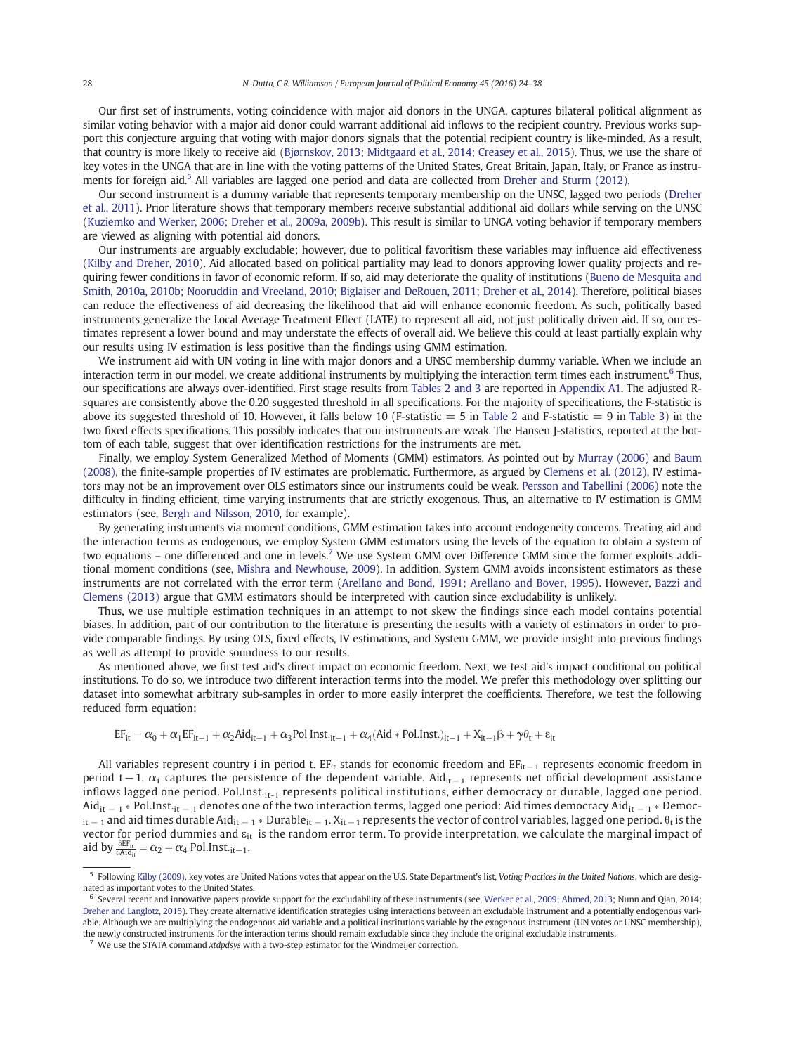Our first set of instruments, voting coincidence with major aid donors in the UNGA, captures bilateral political alignment as similar voting behavior with a major aid donor could warrant additional aid inflows to the recipient country. Previous works support this conjecture arguing that voting with major donors signals that the potential recipient country is like-minded. As a result, that country is more likely to receive aid (Bjørnskov, 2013; Midtgaard et al., 2014; Creasey et al., 2015). Thus, we use the share of key votes in the UNGA that are in line with the voting patterns of the United States, Great Britain, Japan, Italy, or France as instruments for foreign aid.5 All variables are lagged one period and data are collected from Dreher and Sturm (2012).

Our second instrument is a du[mmy](#page-13-0) [variable](#page-13-0) [that](#page-13-0) [represents](#page-13-0) [temporary](#page-13-0) [membership](#page-13-0) [on](#page-13-0) [the](#page-13-0) UNSC, lagged two periods (Dreher et al., 2011). Prior literature shows that temporary members receive substantial additional aid dollars while serving on the UNSC (Kuziemko and Werker, 2006; Dreher et al., 2009a, 2009b). This result is similar [to](#page-14-0) [UNGA](#page-14-0) [voting](#page-14-0) [behavior](#page-14-0) if temp[orary me](#page-14-0)mbers [are v](#page-14-0)iewed as aligning with potential aid donors.

[Our instruments are arguably excludable; howe](#page-14-0)ver, due to political favoritism these variables may influence aid effectiveness (Kilby and Dreher, 2010). Aid allocated based on political partiality may lead to donors approving lower quality projects and requiring fewer conditions in favor of economic reform. If so, aid may deteriorate the quality of institutions (Bueno de Mesquita and Smith, 2010a, 2010b; Nooruddin and Vreeland, 2010; Biglaiser and DeRouen, 2011; Dreher et al., 2014). Therefore, political biases [can](#page-14-0) [reduce](#page-14-0) [the](#page-14-0) [ef](#page-14-0)fectiveness of aid decreasing the likelihood that aid will enhance economic free[dom. As such, politically](#page-13-0) based [instruments generalize the Local Average Treatment Effect \(LATE\) to represent all aid, not just](#page-13-0) politically driven aid. If so, our estimates represent a lower bound and may understate the effects of overall aid. We believe this could at least partially explain why our results using IV estimation is less positive than the findings using GMM estimation.

We instrument aid with UN voting in line with major donors and a UNSC membership dummy variable. When we include an interaction term in our model, we create additional instruments by multiplying the interaction term times each instrument.<sup>6</sup> Thus, our specifications are always over-identified. First stage results from Tables 2 and 3 are reported in Appendix A1. The adjusted Rsquares are consistently above the 0.20 suggested threshold in all specifications. For the majority of specifications, the F-statistic is above its suggested threshold of 10. However, it falls below 10 (F-statistic  $=$  5 in Table 2 and F-statistic  $=$  9 in Table 3) in the two fixed effects specifications. This possibly indicates that ou[r](#page-5-0) [instruments](#page-5-0) [a](#page-5-0)re weak. The H[ansen](#page-11-0) [J-statist](#page-11-0)ics, reported at the bottom of each table, suggest that over identification restrictions for the instruments are met.

Finally, we employ System Generalized Method of Moments (GMM) est[imators.](#page-5-0) As pointed out by Mu[rray](#page-6-0) [\(20](#page-6-0)06) and Baum (2008), the finite-sample properties of IV estimates are problematic. Furthermore, as argued by Clemens et al. (2012), IV estimators may not be an improvement over OLS estimators since our instruments could be weak. Pers[son and Tabellin](#page-14-0)i (2006) note the difficulty in finding efficient, time varying instruments that are strictly exogenous. Thus, [an alternative to IV e](#page-13-0)stima[tion](#page-13-0) [is](#page-13-0) GMM estimators (see, Bergh and Nilsson, 2010, for example).

By generating instruments via moment conditions, GMM estimation takes into ac[count](#page-14-0) [endogeneity](#page-14-0) [concerns.](#page-14-0) [T](#page-14-0)reating aid and the interaction terms as endogenous, we employ System GMM estimators using the levels of the equation to obtain a system of two equations – [one](#page-13-0) [differenced](#page-13-0) [a](#page-13-0)nd one in levels.<sup>7</sup> We use System GMM over Difference GMM since the former exploits additional moment conditions (see, Mishra and Newhouse, 2009). In addition, System GMM avoids inconsistent estimators as these instruments are not correlated with the error term (Arellano and Bond, 1991; Arellano and Bover, 1995). However, Bazzi and Clemens (2013) argue that GMM estimators should be interpreted with caution since excludability is unlikely.

Thus, we use multipl[e](#page-14-0) [estimation](#page-14-0) [techniques](#page-14-0) [in](#page-14-0) [a](#page-14-0)n attempt to not skew the findings since each model c[ontains po](#page-13-0)tential biases. In addition, part of our contribution to [the](#page-13-0) [literature](#page-13-0) [is](#page-13-0) [presenting](#page-13-0) [the](#page-13-0) [results](#page-13-0) [with](#page-13-0) [a](#page-13-0) [variety](#page-13-0) of estimators in order to pro[vide](#page-13-0) [com](#page-13-0)parable findings. By using OLS, fixed effects, IV estimations, and System GMM, we provide insight into previous findings as well as attempt to provide soundness to our results.

As mentioned above, we first test aid's direct impact on economic freedom. Next, we test aid's impact conditional on political institutions. To do so, we introduce two different interaction terms into the model. We prefer this methodology over splitting our dataset into somewhat arbitrary sub-samples in order to more easily interpret the coefficients. Therefore, we test the following reduced form equation:

$$
EF_{it} = \alpha_0 + \alpha_1 EF_{it-1} + \alpha_2 A id_{it-1} + \alpha_3 Pol \; Inst._{it-1} + \alpha_4 (Aid * Pol \; Inst.)_{it-1} + X_{it-1} \beta + \gamma \theta_t + \epsilon_{it}
$$

All variables represent country i in period t. EF<sub>it</sub> stands for economic freedom and EF<sub>it−1</sub> represents economic freedom in period t−1.  $\alpha_1$  captures the persistence of the dependent variable. Aid<sub>it−1</sub> represents net official development assistance inflows lagged one period. Pol.Inst.<sub>it-1</sub> represents political institutions, either democracy or durable, lagged one period.  $\text{Aid}_{it-1}$  ∗ Pol.Inst.<sub>it − 1</sub> denotes one of the two interaction terms, lagged one period: Aid times democracy Aid<sub>it − 1</sub> ∗ Democ $i_{t-1}$  and aid times durable Aid<sub>it − 1</sub> \* Durable<sub>it − 1</sub>.  $X_{it-1}$  represents the vector of control variables, lagged one period.  $\theta_t$  is the vector for period dummies and ε<sub>it</sub> is the random error term. To provide interpretation, we calculate the marginal impact of aid by  $\frac{\delta EF_{it}}{\delta A id_{it}} = \alpha_2 + \alpha_4$  Pol.Inst.<sub>it−1</sub>.

[We use the ST](#page-14-0)ATA command xtdpdsys with a two-step estimator for the Windmeijer correction.

<sup>&</sup>lt;sup>5</sup> Following Kilby (2009), key votes are United Nations votes that appear on the U.S. State Department's list, Voting Practices in the United Nations, which are designated as important votes to the United States.

<sup>6</sup> Several recent and innovative papers provide support for the excludability of these instruments (see, Werker et al., 2009; Ahmed, 2013; Nunn and Qian, 2014; Dreh[er and Langlo](#page-14-0)tz, 2015). They create alternative identification strategies using interactions between an excludable instrument and a potentially endogenous variable. Although we are multiplying the endogenous aid variable and a political institutions variable by the exogenous instrument (UN votes or UNSC membership), the newly constructed instruments for the interaction terms should remain excludable since they [include the original excludable ins](#page-14-0)truments.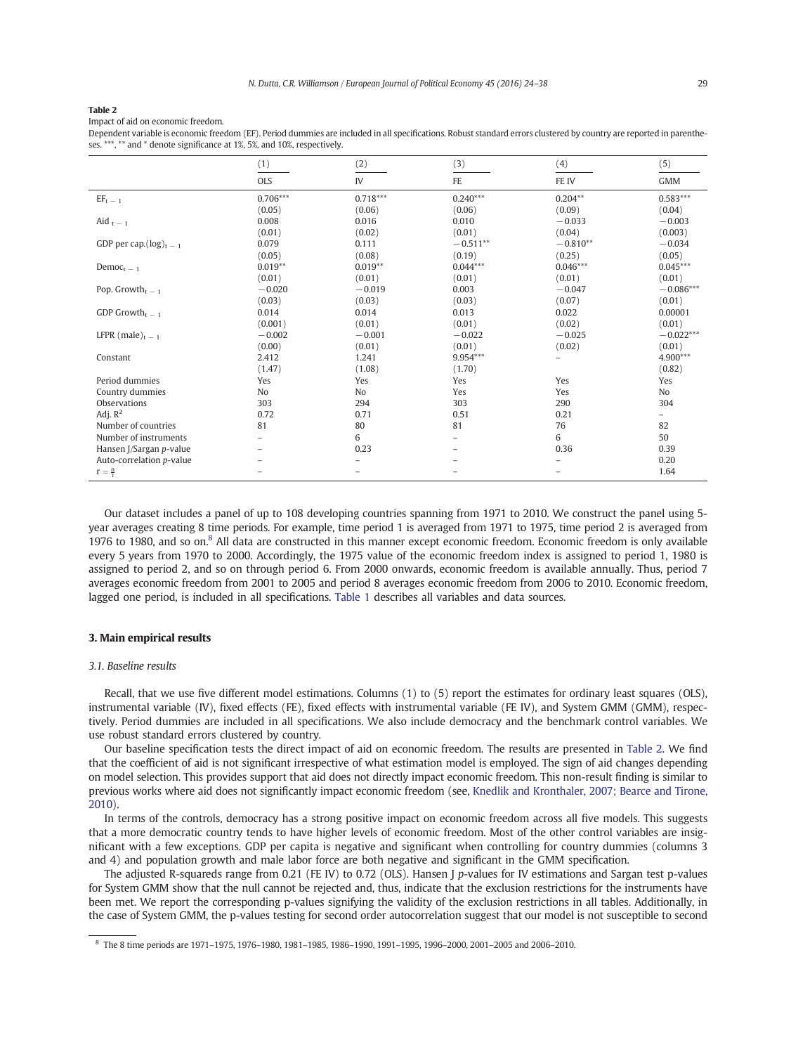<span id="page-5-0"></span>Impact of aid on economic freedom.

Dependent variable is economic freedom (EF). Period dummies are included in all specifications. Robust standard errors clustered by country are reported in parentheses. \*\*\*, \*\* and \* denote significance at 1%, 5%, and 10%, respectively.

|                              | (1)                      | (2)            | (3)                      | (4)                      | (5)                      |
|------------------------------|--------------------------|----------------|--------------------------|--------------------------|--------------------------|
|                              | <b>OLS</b>               | IV             | <b>FE</b>                | FE IV                    | <b>GMM</b>               |
| $EF_{t\,-\,1}$               | $0.706***$               | $0.718***$     | $0.240***$               | $0.204**$                | $0.583***$               |
|                              | (0.05)                   | (0.06)         | (0.06)                   | (0.09)                   | (0.04)                   |
| Aid $_{\rm t \, - \, 1}$     | 0.008                    | 0.016          | 0.010                    | $-0.033$                 | $-0.003$                 |
|                              | (0.01)                   | (0.02)         | (0.01)                   | (0.04)                   | (0.003)                  |
| GDP per cap. $(\log)_{t=1}$  | 0.079                    | 0.111          | $-0.511**$               | $-0.810**$               | $-0.034$                 |
|                              | (0.05)                   | (0.08)         | (0.19)                   | (0.25)                   | (0.05)                   |
| Democ <sub>t</sub> $=$ 1     | $0.019**$                | $0.019**$      | $0.044***$               | $0.046***$               | $0.045***$               |
|                              | (0.01)                   | (0.01)         | (0.01)                   | (0.01)                   | (0.01)                   |
| Pop. Growth <sub>t = 1</sub> | $-0.020$                 | $-0.019$       | 0.003                    | $-0.047$                 | $-0.086***$              |
|                              | (0.03)                   | (0.03)         | (0.03)                   | (0.07)                   | (0.01)                   |
| GDP Growth <sub>t = 1</sub>  | 0.014                    | 0.014          | 0.013                    | 0.022                    | 0.00001                  |
|                              | (0.001)                  | (0.01)         | (0.01)                   | (0.02)                   | (0.01)                   |
| LFPR (male) $_{t=1}$         | $-0.002$                 | $-0.001$       | $-0.022$                 | $-0.025$                 | $-0.022***$              |
|                              | (0.00)                   | (0.01)         | (0.01)                   | (0.02)                   | (0.01)                   |
| Constant                     | 2.412                    | 1.241          | 9.954***                 | $\overline{\phantom{0}}$ | 4.900***                 |
|                              | (1.47)                   | (1.08)         | (1.70)                   |                          | (0.82)                   |
| Period dummies               | Yes                      | Yes            | Yes                      | Yes                      | Yes                      |
| Country dummies              | N <sub>o</sub>           | N <sub>o</sub> | Yes                      | Yes                      | N <sub>o</sub>           |
| Observations                 | 303                      | 294            | 303                      | 290                      | 304                      |
| Adj. $R^2$                   | 0.72                     | 0.71           | 0.51                     | 0.21                     | $\overline{\phantom{0}}$ |
| Number of countries          | 81                       | 80             | 81                       | 76                       | 82                       |
| Number of instruments        |                          | 6              | $\overline{\phantom{0}}$ | 6                        | 50                       |
| Hansen J/Sargan p-value      | $\overline{\phantom{0}}$ | 0.23           | $\overline{\phantom{0}}$ | 0.36                     | 0.39                     |
| Auto-correlation p-value     |                          | -              |                          |                          | 0.20                     |
| $r = \frac{n}{1}$            |                          |                |                          |                          | 1.64                     |

Our dataset includes a panel of up to 108 developing countries spanning from 1971 to 2010. We construct the panel using 5 year averages creating 8 time periods. For example, time period 1 is averaged from 1971 to 1975, time period 2 is averaged from 1976 to 1980, and so on.<sup>8</sup> All data are constructed in this manner except economic freedom. Economic freedom is only available every 5 years from 1970 to 2000. Accordingly, the 1975 value of the economic freedom index is assigned to period 1, 1980 is assigned to period 2, and so on through period 6. From 2000 onwards, economic freedom is available annually. Thus, period 7 averages economic freedom from 2001 to 2005 and period 8 averages economic freedom from 2006 to 2010. Economic freedom, lagged one period, is included in all specifications. Table 1 describes all variables and data sources.

#### 3. Main empirical results

#### 3.1. Baseline results

Recall, that we use five different model estimations. Columns (1) to (5) report the estimates for ordinary least squares (OLS), instrumental variable (IV), fixed effects (FE), fixed effects with instrumental variable (FE IV), and System GMM (GMM), respectively. Period dummies are included in all specifications. We also include democracy and the benchmark control variables. We use robust standard errors clustered by country.

Our baseline specification tests the direct impact of aid on economic freedom. The results are presented in Table 2. We find that the coefficient of aid is not significant irrespective of what estimation model is employed. The sign of aid changes depending on model selection. This provides support that aid does not directly impact economic freedom. This non-result finding is similar to previous works where aid does not significantly impact economic freedom (see, Knedlik and Kronthaler, 2007; Bearce and Tirone, 2010).

In terms of the controls, democracy has a strong positive impact on economic freedom across all five models. This suggests that a more democratic country tends to have higher levels of economi[c](#page-14-0) [freedom.](#page-14-0) [Most](#page-14-0) [of](#page-14-0) [the](#page-14-0) [other](#page-14-0) [control](#page-14-0) [variables](#page-14-0) [are](#page-14-0) insignificant with a few exceptions. GDP per capita is negative and significant when controlling for country dummies (columns 3 and 4) and population growth and male labor force are both negative and significant in the GMM specification.

The adjusted R-squareds range from 0.21 (FE IV) to 0.72 (OLS). Hansen J p-values for IV estimations and Sargan test p-values for System GMM show that the null cannot be rejected and, thus, indicate that the exclusion restrictions for the instruments have been met. We report the corresponding p-values signifying the validity of the exclusion restrictions in all tables. Additionally, in the case of System GMM, the p-values testing for second order autocorrelation suggest that our model is not susceptible to second

<sup>8</sup> The 8 time periods are 1971–1975, 1976–1980, 1981–1985, 1986–1990, 1991–1995, 1996–2000, 2001–2005 and 2006–2010.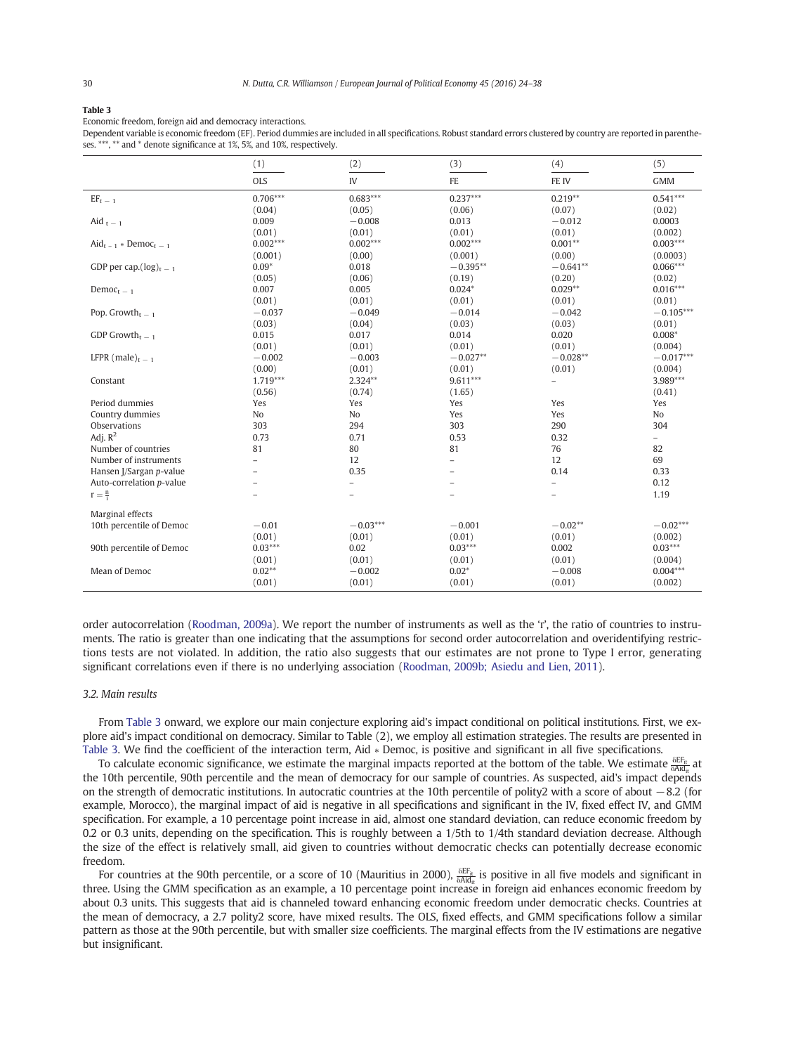<span id="page-6-0"></span>Economic freedom, foreign aid and democracy interactions.

Dependent variable is economic freedom (EF). Period dummies are included in all specifications. Robust standard errors clustered by country are reported in parentheses. \*\*\*, \*\* and \* denote significance at 1%, 5%, and 10%, respectively.

|                                         | (1)                      | (2)               | (3)                      | (4)                      | (5)                      |
|-----------------------------------------|--------------------------|-------------------|--------------------------|--------------------------|--------------------------|
|                                         | <b>OLS</b>               | IV                | FE                       | FE IV                    | <b>GMM</b>               |
| $EF_{\rm t}$ $=$ $_1$                   | $0.706***$               | $0.683***$        | $0.237***$               | $0.219**$                | $0.541***$               |
|                                         | (0.04)                   | (0.05)            | (0.06)                   | (0.07)                   | (0.02)                   |
| Aid $_{t-1}$                            | 0.009                    | $-0.008$          | 0.013                    | $-0.012$                 | 0.0003                   |
|                                         | (0.01)                   | (0.01)            | (0.01)                   | (0.01)                   | (0.002)                  |
| $\text{Aid}_{t-1} * \text{DemoC}_{t-1}$ | $0.002***$               | $0.002***$        | $0.002***$               | $0.001**$                | $0.003***$               |
|                                         | (0.001)                  | (0.00)            | (0.001)                  | (0.00)                   | (0.0003)                 |
| GDP per cap. $(\log)_{t=1}$             | $0.09*$                  | 0.018             | $-0.395**$               | $-0.641**$               | $0.066***$               |
|                                         | (0.05)                   | (0.06)            | (0.19)                   | (0.20)                   | (0.02)                   |
| Democ <sub>t</sub> $-1$                 | 0.007                    | 0.005             | $0.024*$                 | $0.029**$                | $0.016***$               |
|                                         | (0.01)                   | (0.01)            | (0.01)                   | (0.01)                   | (0.01)                   |
| Pop. Growth <sub>t = 1</sub>            | $-0.037$                 | $-0.049$          | $-0.014$                 | $-0.042$                 | $-0.105***$              |
|                                         | (0.03)                   | (0.04)            | (0.03)                   | (0.03)                   | (0.01)                   |
| GDP Growth <sub>t = 1</sub>             | 0.015                    | 0.017             | 0.014                    | 0.020                    | $0.008*$                 |
|                                         | (0.01)                   | (0.01)            | (0.01)                   | (0.01)                   | (0.004)                  |
| LFPR (male) $_{t=1}$                    | $-0.002$                 | $-0.003$          | $-0.027**$               | $-0.028**$               | $-0.017***$              |
|                                         | (0.00)                   | (0.01)            | (0.01)                   | (0.01)                   | (0.004)                  |
| Constant                                | $1.719***$               | 2.324**           | $9.611***$               | $\overline{\phantom{0}}$ | $3.989***$               |
|                                         | (0.56)                   | (0.74)            | (1.65)                   |                          | (0.41)                   |
| Period dummies                          | Yes                      | Yes               | Yes                      | Yes                      | Yes                      |
| Country dummies                         | No                       | No                | Yes                      | Yes                      | No                       |
| Observations                            | 303                      | 294               | 303                      | 290                      | 304                      |
| Adj. $R^2$                              | 0.73                     | 0.71              | 0.53                     | 0.32                     | $\overline{\phantom{a}}$ |
| Number of countries                     | 81                       | 80                | 81                       | 76                       | 82                       |
| Number of instruments                   | $\overline{\phantom{0}}$ | 12                | $\overline{\phantom{0}}$ | 12                       | 69                       |
| Hansen J/Sargan p-value                 |                          | 0.35              |                          | 0.14                     | 0.33                     |
| Auto-correlation p-value                |                          | $\qquad \qquad -$ | $\overline{\phantom{0}}$ | $\overline{\phantom{m}}$ | 0.12                     |
| $r = \frac{n}{1}$                       | $\overline{\phantom{0}}$ | $\overline{a}$    | $\overline{\phantom{0}}$ | $\overline{\phantom{0}}$ | 1.19                     |
| Marginal effects                        |                          |                   |                          |                          |                          |
| 10th percentile of Democ                | $-0.01$                  | $-0.03***$        | $-0.001$                 | $-0.02**$                | $-0.02***$               |
|                                         | (0.01)                   | (0.01)            | (0.01)                   | (0.01)                   | (0.002)                  |
| 90th percentile of Democ                | $0.03***$                | 0.02              | $0.03***$                | 0.002                    | $0.03***$                |
|                                         | (0.01)                   | (0.01)            | (0.01)                   | (0.01)                   | (0.004)                  |
| Mean of Democ                           | $0.02**$                 | $-0.002$          | $0.02*$                  | $-0.008$                 | $0.004***$               |
|                                         | (0.01)                   | (0.01)            | (0.01)                   | (0.01)                   | (0.002)                  |

order autocorrelation (Roodman, 2009a). We report the number of instruments as well as the 'r', the ratio of countries to instruments. The ratio is greater than one indicating that the assumptions for second order autocorrelation and overidentifying restrictions tests are not violated. In addition, the ratio also suggests that our estimates are not prone to Type I error, generating significant corr[elations](#page-14-0) [even](#page-14-0) [if](#page-14-0) [th](#page-14-0)ere is no underlying association (Roodman, 2009b; Asiedu and Lien, 2011).

#### 3.2. Main results

From Table 3 onward, we explore our main conjecture exploring aid's impact conditional on political institutions. First, we explore aid's impact conditional on democracy. Similar to Table (2), we employ all estimation strategies. The results are presented in Table 3. We find the coefficient of the interaction term, Aid ∗ Democ, is positive and significant in all five specifications.

To calculate economic significance, we estimate the marginal impacts reported at the bottom of the table. We estimate  $\frac{\delta EF_{it}}{\delta Adi_{it}}$ the 10th percentile, 90th percentile and the mean of democracy for our sample of countries. As suspected, aid's impact depends on the strength of democratic institutions. In autocratic countries at the 10th percentile of polity2 with a score of about −8.2 (for example, Morocco), the marginal impact of aid is negative in all specifications and significant in the IV, fixed effect IV, and GMM specification. For example, a 10 percentage point increase in aid, almost one standard deviation, can reduce economic freedom by 0.2 or 0.3 units, depending on the specification. This is roughly between a 1/5th to 1/4th standard deviation decrease. Although the size of the effect is relatively small, aid given to countries without democratic checks can potentially decrease economic freedom.

For countries at the 90th percentile, or a score of 10 (Mauritius in 2000),  $\frac{\delta EF_{\text{it}}}{\delta \text{Aid}_{\text{it}}}$  is positive in all five models and significant in three. Using the GMM specification as an example, a 10 percentage point increase in foreign aid enhances economic freedom by about 0.3 units. This suggests that aid is channeled toward enhancing economic freedom under democratic checks. Countries at the mean of democracy, a 2.7 polity2 score, have mixed results. The OLS, fixed effects, and GMM specifications follow a similar pattern as those at the 90th percentile, but with smaller size coefficients. The marginal effects from the IV estimations are negative but insignificant.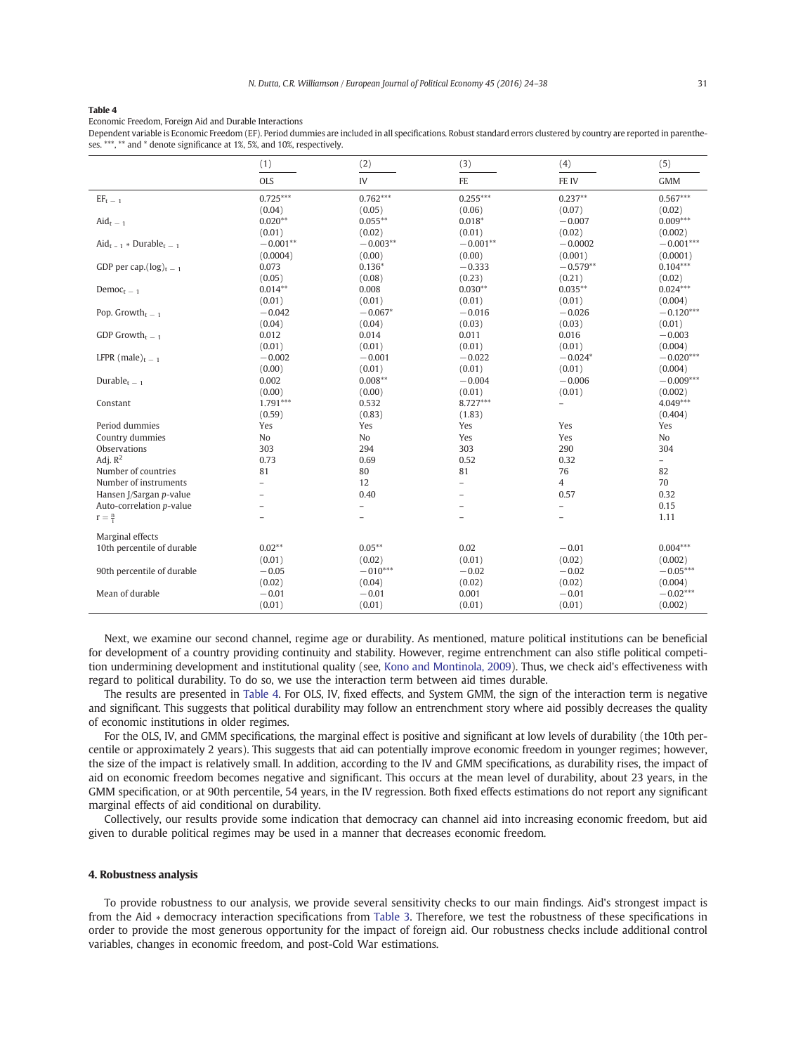Economic Freedom, Foreign Aid and Durable Interactions

Dependent variable is Economic Freedom (EF). Period dummies are included in all specifications. Robust standard errors clustered by country are reported in parentheses. \*\*\*, \*\* and \* denote significance at 1%, 5%, and 10%, respectively.

|                                               | (1)                      | (2)        | (3)                      | (4)                      | (5)         |
|-----------------------------------------------|--------------------------|------------|--------------------------|--------------------------|-------------|
|                                               | <b>OLS</b>               | IV         | FE                       | FE IV                    | <b>GMM</b>  |
| $EF_{\rm t}$ $=$ $_1$                         | $0.725***$               | $0.762***$ | $0.255***$               | $0.237**$                | $0.567***$  |
|                                               | (0.04)                   | (0.05)     | (0.06)                   | (0.07)                   | (0.02)      |
| $\text{A} \text{id}_{t-1}$                    | $0.020**$                | $0.055***$ | $0.018*$                 | $-0.007$                 | $0.009***$  |
|                                               | (0.01)                   | (0.02)     | (0.01)                   | (0.02)                   | (0.002)     |
| $\text{Aid}_{t-1}$ * Durable <sub>t - 1</sub> | $-0.001**$               | $-0.003**$ | $-0.001**$               | $-0.0002$                | $-0.001***$ |
|                                               | (0.0004)                 | (0.00)     | (0.00)                   | (0.001)                  | (0.0001)    |
| GDP per cap. $(\log)_{t=1}$                   | 0.073                    | $0.136*$   | $-0.333$                 | $-0.579**$               | $0.104***$  |
|                                               | (0.05)                   | (0.08)     | (0.23)                   | (0.21)                   | (0.02)      |
| $Democt-1$                                    | $0.014**$                | 0.008      | $0.030**$                | $0.035***$               | $0.024***$  |
|                                               | (0.01)                   | (0.01)     | (0.01)                   | (0.01)                   | (0.004)     |
| Pop. Growth <sub>t <math>-1</math></sub>      | $-0.042$                 | $-0.067*$  | $-0.016$                 | $-0.026$                 | $-0.120***$ |
|                                               | (0.04)                   | (0.04)     | (0.03)                   | (0.03)                   | (0.01)      |
| GDP Growth <sub>t <math>-1</math></sub>       | 0.012                    | 0.014      | 0.011                    | 0.016                    | $-0.003$    |
|                                               | (0.01)                   | (0.01)     | (0.01)                   | (0.01)                   | (0.004)     |
| LFPR (male) $_{t=1}$                          | $-0.002$                 | $-0.001$   | $-0.022$                 | $-0.024*$                | $-0.020***$ |
|                                               | (0.00)                   | (0.01)     | (0.01)                   | (0.01)                   | (0.004)     |
| Durable $_{t=1}$                              | 0.002                    | $0.008**$  | $-0.004$                 | $-0.006$                 | $-0.009***$ |
|                                               | (0.00)                   | (0.00)     | (0.01)                   | (0.01)                   | (0.002)     |
| Constant                                      | $1.791***$               | 0.532      | $8.727***$               | $\overline{\phantom{0}}$ | $4.049***$  |
|                                               | (0.59)                   | (0.83)     | (1.83)                   |                          | (0.404)     |
| Period dummies                                | Yes                      | Yes        | Yes                      | Yes                      | Yes         |
| Country dummies                               | No                       | No         | Yes                      | Yes                      | No          |
| Observations                                  | 303                      | 294        | 303                      | 290                      | 304         |
| Adj. $R^2$                                    | 0.73                     | 0.69       | 0.52                     | 0.32                     | -           |
| Number of countries                           | 81                       | 80         | 81                       | 76                       | 82          |
| Number of instruments                         | $\overline{\phantom{0}}$ | 12         | $\overline{\phantom{0}}$ | $\overline{4}$           | 70          |
| Hansen J/Sargan p-value                       |                          | 0.40       | $\overline{\phantom{0}}$ | 0.57                     | 0.32        |
| Auto-correlation p-value                      |                          | ۳          | L,                       | $\overline{\phantom{0}}$ | 0.15        |
| $r = \frac{n}{i}$                             |                          |            |                          |                          | 1.11        |
| Marginal effects                              |                          |            |                          |                          |             |
| 10th percentile of durable                    | $0.02**$                 | $0.05***$  | 0.02                     | $-0.01$                  | $0.004***$  |
|                                               | (0.01)                   | (0.02)     | (0.01)                   | (0.02)                   | (0.002)     |
| 90th percentile of durable                    | $-0.05$                  | $-010***$  | $-0.02$                  | $-0.02$                  | $-0.05***$  |
|                                               | (0.02)                   | (0.04)     | (0.02)                   | (0.02)                   | (0.004)     |
| Mean of durable                               | $-0.01$                  | $-0.01$    | 0.001                    | $-0.01$                  | $-0.02***$  |
|                                               | (0.01)                   | (0.01)     | (0.01)                   | (0.01)                   | (0.002)     |

Next, we examine our second channel, regime age or durability. As mentioned, mature political institutions can be beneficial for development of a country providing continuity and stability. However, regime entrenchment can also stifle political competition undermining development and institutional quality (see, Kono and Montinola, 2009). Thus, we check aid's effectiveness with regard to political durability. To do so, we use the interaction term between aid times durable.

The results are presented in Table 4. For OLS, IV, fi[xed effects, and System GM](#page-14-0)M, the sign of the interaction term is negative and significant. This suggests that political durability may follow an entrenchment story where aid possibly decreases the quality of economic institutions in older regimes.

For the OLS, IV, and GMM specifications, the marginal effect is positive and significant at low levels of durability (the 10th percentile or approximately 2 years). This suggests that aid can potentially improve economic freedom in younger regimes; however, the size of the impact is relatively small. In addition, according to the IV and GMM specifications, as durability rises, the impact of aid on economic freedom becomes negative and significant. This occurs at the mean level of durability, about 23 years, in the GMM specification, or at 90th percentile, 54 years, in the IV regression. Both fixed effects estimations do not report any significant marginal effects of aid conditional on durability.

Collectively, our results provide some indication that democracy can channel aid into increasing economic freedom, but aid given to durable political regimes may be used in a manner that decreases economic freedom.

#### 4. Robustness analysis

To provide robustness to our analysis, we provide several sensitivity checks to our main findings. Aid's strongest impact is from the Aid ∗ democracy interaction specifications from Table 3. Therefore, we test the robustness of these specifications in order to provide the most generous opportunity for the impact of foreign aid. Our robustness checks include additional control variables, changes in economic freedom, and post-C[old War](#page-6-0) estimations.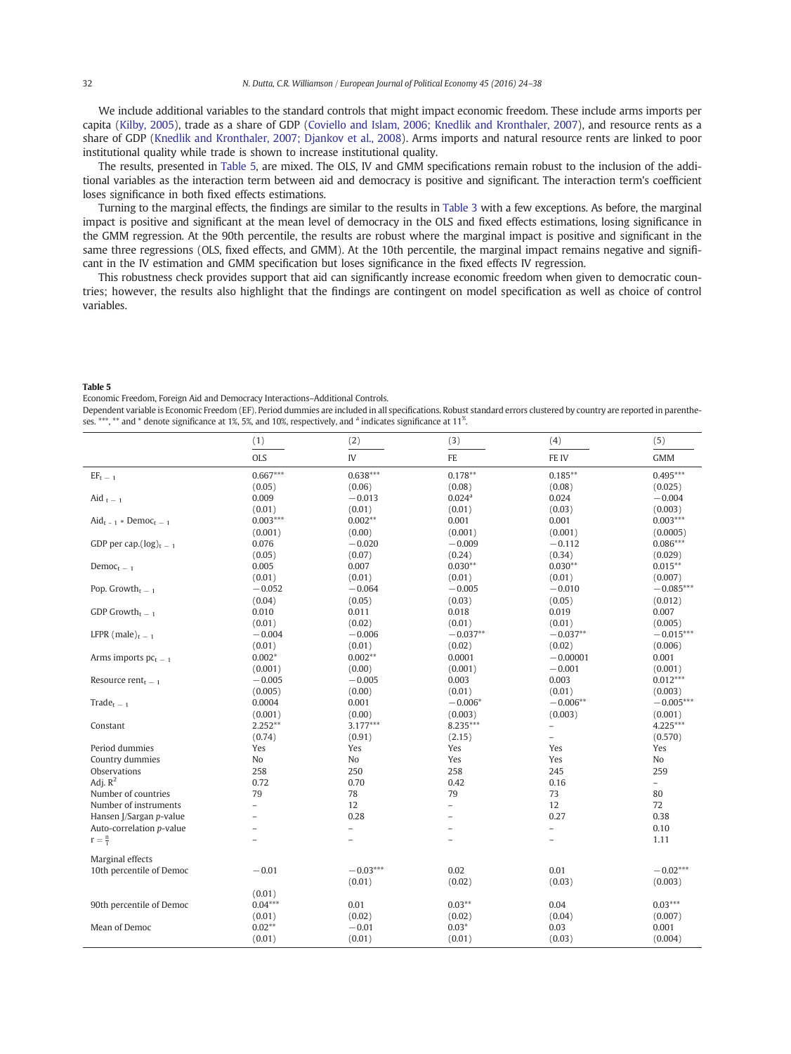We include additional variables to the standard controls that might impact economic freedom. These include arms imports per capita (Kilby, 2005), trade as a share of GDP (Coviello and Islam, 2006; Knedlik and Kronthaler, 2007), and resource rents as a share of GDP (Knedlik and Kronthaler, 2007; Djankov et al., 2008). Arms imports and natural resource rents are linked to poor i[nstitutional](#page-14-0) quality while trade is shown to increase institutional quality.

The results, presented in Table 5, ar[e](#page-13-0) [mixed.](#page-13-0) [The](#page-13-0) [OLS,](#page-13-0) [IV](#page-13-0) [and](#page-13-0) [GMM](#page-13-0) [speci](#page-13-0)fications remain robust to the inclusion of the additional v[ariables](#page-14-0) [as](#page-14-0) [the](#page-14-0) [interaction](#page-14-0) [term](#page-14-0) [between](#page-14-0) [aid](#page-14-0) [and](#page-14-0) [de](#page-14-0)mocracy is positive and significant. The interaction term's coefficient loses significance in both fixed effects estimations.

Turning to the marginal effects, the findings are similar to the results in Table 3 with a few exceptions. As before, the marginal impact is positive and significant at the mean level of democracy in the OLS and fixed effects estimations, losing significance in the GMM regression. At the 90th percentile, the results are robust where the marginal impact is positive and significant in the same three regressions (OLS, fixed effects, and GMM). At the 10th [percenti](#page-6-0)le, the marginal impact remains negative and significant in the IV estimation and GMM specification but loses significance in the fixed effects IV regression.

This robustness check provides support that aid can significantly increase economic freedom when given to democratic countries; however, the results also highlight that the findings are contingent on model specification as well as choice of control variables.

#### Table 5

Economic Freedom, Foreign Aid and Democracy Interactions–Additional Controls.

Dependent variable is Economic Freedom (EF). Period dummies are included in all specifications. Robust standard errors clustered by country are reported in parentheses.  $***$ ,  $**$  and  $*$  denote significance at 1%, 5%, and 10%, respectively, and  $^{\rm a}$  indicates significance at 11<sup>%</sup>.

|                                         | (1)            | (2)            | (3)                      | (4)                      | (5)         |
|-----------------------------------------|----------------|----------------|--------------------------|--------------------------|-------------|
|                                         | <b>OLS</b>     | IV             | FE                       | FE IV                    | <b>GMM</b>  |
| $EF_{\rm t}$ $\_$ $_1$                  | $0.667***$     | $0.638***$     | $0.178**$                | $0.185**$                | $0.495***$  |
|                                         | (0.05)         | (0.06)         | (0.08)                   | (0.08)                   | (0.025)     |
| Aid $t = 1$                             | 0.009          | $-0.013$       | 0.024 <sup>a</sup>       | 0.024                    | $-0.004$    |
|                                         | (0.01)         | (0.01)         | (0.01)                   | (0.03)                   | (0.003)     |
| $\text{Aid}_{t-1} * \text{DemoC}_{t-1}$ | $0.003***$     | $0.002**$      | 0.001                    | 0.001                    | $0.003***$  |
|                                         | (0.001)        | (0.00)         | (0.001)                  | (0.001)                  | (0.0005)    |
| GDP per cap. $(log)_{t-1}$              | 0.076          | $-0.020$       | $-0.009$                 | $-0.112$                 | $0.086***$  |
|                                         | (0.05)         | (0.07)         | (0.24)                   | (0.34)                   | (0.029)     |
| Democ <sub>t</sub> $-1$                 | 0.005          | 0.007          | $0.030**$                | $0.030**$                | $0.015***$  |
|                                         | (0.01)         | (0.01)         | (0.01)                   | (0.01)                   | (0.007)     |
| Pop. Growth <sub>t = 1</sub>            | $-0.052$       | $-0.064$       | $-0.005$                 | $-0.010$                 | $-0.085***$ |
|                                         | (0.04)         | (0.05)         | (0.03)                   | (0.05)                   | (0.012)     |
| GDP Growth <sub>t <math>-1</math></sub> | 0.010          | 0.011          | 0.018                    | 0.019                    | 0.007       |
|                                         | (0.01)         | (0.02)         | (0.01)                   | (0.01)                   | (0.005)     |
| LFPR (male) <sub>t = 1</sub>            | $-0.004$       | $-0.006$       | $-0.037**$               | $-0.037**$               | $-0.015***$ |
|                                         | (0.01)         | (0.01)         | (0.02)                   | (0.02)                   | (0.006)     |
| Arms imports $pc_{t-1}$                 | $0.002*$       | $0.002**$      | 0.0001                   | $-0.00001$               | 0.001       |
|                                         | (0.001)        | (0.00)         | (0.001)                  | $-0.001$                 | (0.001)     |
|                                         | $-0.005$       |                | 0.003                    | 0.003                    | $0.012***$  |
| Resource rent $t - 1$                   |                | $-0.005$       |                          |                          |             |
|                                         | (0.005)        | (0.00)         | (0.01)                   | (0.01)                   | (0.003)     |
| $Trade_{t-1}$                           | 0.0004         | 0.001          | $-0.006*$                | $-0.006**$               | $-0.005***$ |
|                                         | (0.001)        | (0.00)         | (0.003)                  | (0.003)                  | (0.001)     |
| Constant                                | $2.252**$      | $3.177***$     | 8.235***                 | $\overline{\phantom{0}}$ | 4.225***    |
|                                         | (0.74)         | (0.91)         | (2.15)                   | $\overline{\phantom{0}}$ | (0.570)     |
| Period dummies                          | Yes            | Yes            | Yes                      | Yes                      | Yes         |
| Country dummies                         | No             | No             | Yes                      | Yes                      | No          |
| Observations                            | 258            | 250            | 258                      | 245                      | 259         |
| Adj. $R^2$                              | 0.72           | 0.70           | 0.42                     | 0.16                     | $-$         |
| Number of countries                     | 79             | 78             | 79                       | 73                       | 80          |
| Number of instruments                   | $\overline{a}$ | 12             | $\overline{\phantom{0}}$ | 12                       | 72          |
| Hansen J/Sargan p-value                 | $\equiv$       | 0.28           | $\equiv$                 | 0.27                     | 0.38        |
| Auto-correlation p-value                | $\overline{a}$ | $\overline{a}$ | $\qquad \qquad -$        | $\overline{\phantom{0}}$ | 0.10        |
| $r = \frac{n}{1}$                       | $\overline{a}$ | $\overline{a}$ | $\overline{\phantom{0}}$ | $\overline{\phantom{0}}$ | 1.11        |
| Marginal effects                        |                |                |                          |                          |             |
| 10th percentile of Democ                | $-0.01$        | $-0.03***$     | 0.02                     | 0.01                     | $-0.02***$  |
|                                         |                | (0.01)         | (0.02)                   | (0.03)                   | (0.003)     |
|                                         | (0.01)         |                |                          |                          |             |
| 90th percentile of Democ                | $0.04***$      | 0.01           | $0.03**$                 | 0.04                     | $0.03***$   |
|                                         | (0.01)         | (0.02)         | (0.02)                   | (0.04)                   | (0.007)     |
| Mean of Democ                           | $0.02**$       | $-0.01$        | $0.03*$                  | 0.03                     | 0.001       |
|                                         | (0.01)         | (0.01)         | (0.01)                   | (0.03)                   | (0.004)     |
|                                         |                |                |                          |                          |             |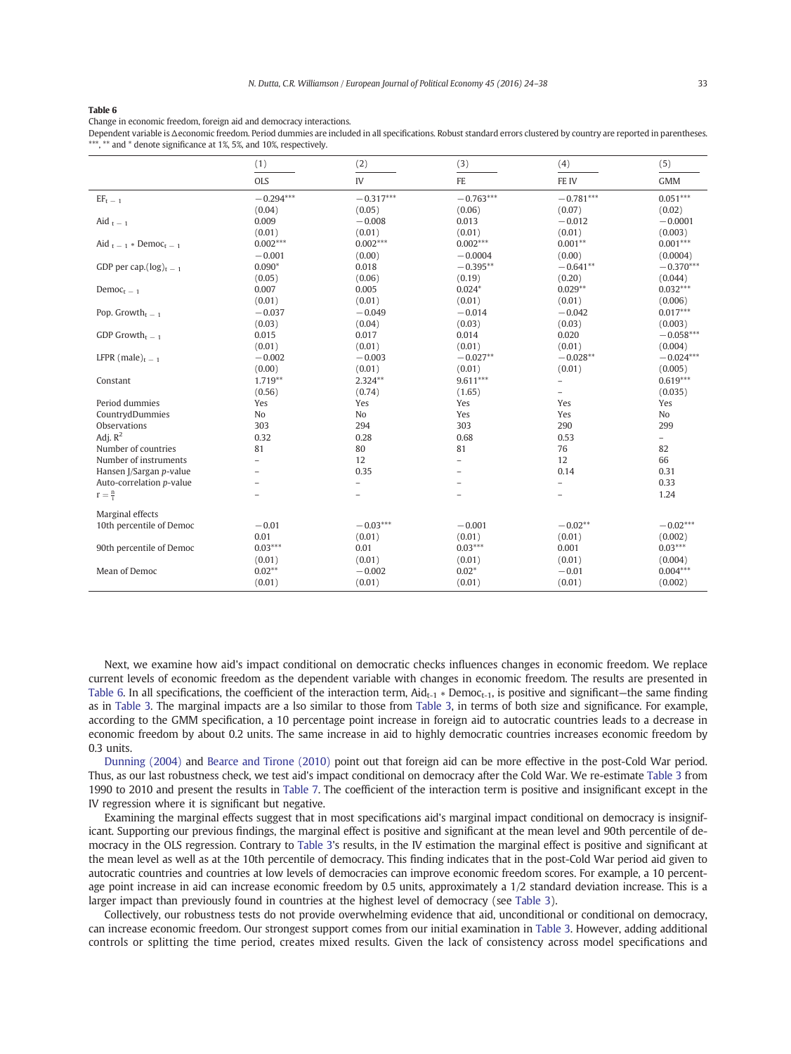Change in economic freedom, foreign aid and democracy interactions.

Dependent variable is Δeconomic freedom. Period dummies are included in all specifications. Robust standard errors clustered by country are reported in parentheses. \*\*\*, \*\* and \* denote significance at 1%, 5%, and 10%, respectively.

|                                          | (1)                      | (2)               | (3)         | (4)                      | (5)                      |
|------------------------------------------|--------------------------|-------------------|-------------|--------------------------|--------------------------|
|                                          | <b>OLS</b>               | IV                | FE          | FE IV                    | <b>GMM</b>               |
| $EF_{\rm t}$ $\_$ $_1$                   | $-0.294***$              | $-0.317***$       | $-0.763***$ | $-0.781***$              | $0.051***$               |
|                                          | (0.04)                   | (0.05)            | (0.06)      | (0.07)                   | (0.02)                   |
| Aid $t - 1$                              | 0.009                    | $-0.008$          | 0.013       | $-0.012$                 | $-0.0001$                |
|                                          | (0.01)                   | (0.01)            | (0.01)      | (0.01)                   | (0.003)                  |
| Aid $t = 1$ * Democ <sub>t</sub> = 1     | $0.002***$               | $0.002***$        | $0.002***$  | $0.001**$                | $0.001***$               |
|                                          | $-0.001$                 | (0.00)            | $-0.0004$   | (0.00)                   | (0.0004)                 |
| GDP per cap. $(\log)_{t=1}$              | $0.090*$                 | 0.018             | $-0.395**$  | $-0.641**$               | $-0.370***$              |
|                                          | (0.05)                   | (0.06)            | (0.19)      | (0.20)                   | (0.044)                  |
| Democ <sub>t</sub> $-1$                  | 0.007                    | 0.005             | $0.024*$    | $0.029**$                | $0.032***$               |
|                                          | (0.01)                   | (0.01)            | (0.01)      | (0.01)                   | (0.006)                  |
| Pop. Growth <sub>t <math>-1</math></sub> | $-0.037$                 | $-0.049$          | $-0.014$    | $-0.042$                 | $0.017***$               |
|                                          | (0.03)                   | (0.04)            | (0.03)      | (0.03)                   | (0.003)                  |
| GDP Growth <sub>t -1</sub>               | 0.015                    | 0.017             | 0.014       | 0.020                    | $-0.058***$              |
|                                          | (0.01)                   | (0.01)            | (0.01)      | (0.01)                   | (0.004)                  |
| LFPR (male) <sub>t - 1</sub>             | $-0.002$                 | $-0.003$          | $-0.027**$  | $-0.028**$               | $-0.024***$              |
|                                          | (0.00)                   | (0.01)            | (0.01)      | (0.01)                   | (0.005)                  |
| Constant                                 | 1.719**                  | $2.324**$         | $9.611***$  | $\overline{\phantom{0}}$ | $0.619***$               |
|                                          | (0.56)                   | (0.74)            | (1.65)      | $\overline{\phantom{0}}$ | (0.035)                  |
| Period dummies                           | Yes                      | Yes               | Yes         | Yes                      | Yes                      |
| CountrydDummies                          | No                       | No                | Yes         | Yes                      | No                       |
| <b>Observations</b>                      | 303                      | 294               | 303         | 290                      | 299                      |
| Adj. $R^2$                               | 0.32                     | 0.28              | 0.68        | 0.53                     | $\overline{\phantom{0}}$ |
| Number of countries                      | 81                       | 80                | 81          | 76                       | 82                       |
| Number of instruments                    | $\overline{\phantom{0}}$ | 12                |             | 12                       | 66                       |
| Hansen J/Sargan p-value                  | $\qquad \qquad -$        | 0.35              |             | 0.14                     | 0.31                     |
| Auto-correlation p-value                 |                          | $\qquad \qquad -$ |             | $\overline{\phantom{0}}$ | 0.33                     |
| $r = \frac{n}{l}$                        |                          |                   |             |                          | 1.24                     |
| Marginal effects                         |                          |                   |             |                          |                          |
| 10th percentile of Democ                 | $-0.01$                  | $-0.03***$        | $-0.001$    | $-0.02**$                | $-0.02***$               |
|                                          | 0.01                     | (0.01)            | (0.01)      | (0.01)                   | (0.002)                  |
| 90th percentile of Democ                 | $0.03***$                | 0.01              | $0.03***$   | 0.001                    | $0.03***$                |
|                                          | (0.01)                   | (0.01)            | (0.01)      | (0.01)                   | (0.004)                  |
| Mean of Democ                            | $0.02**$                 | $-0.002$          | $0.02*$     | $-0.01$                  | $0.004***$               |
|                                          | (0.01)                   | (0.01)            | (0.01)      | (0.01)                   | (0.002)                  |

Next, we examine how aid's impact conditional on democratic checks influences changes in economic freedom. We replace current levels of economic freedom as the dependent variable with changes in economic freedom. The results are presented in Table 6. In all specifications, the coefficient of the interaction term,  $Aid_{t-1} * Democ_{t-1}$ , is positive and significant—the same finding as in Table 3. The marginal impacts are a lso similar to those from Table 3, in terms of both size and significance. For example, according to the GMM specification, a 10 percentage point increase in foreign aid to autocratic countries leads to a decrease in [econo](#page-6-0)mic freedom by about 0.2 units. The same increase in [aid to h](#page-6-0)ighly democratic countries increases economic freedom by 0.3 units.

Dunning (2004) and Bearce and Tirone (2010) point out that foreign aid can be more effective in the post-Cold War period. Thus, as our last robustness check, we test aid's impact conditional on democracy after the Cold War. We re-estimate Table 3 from 1990 to 2010 an[d present the results in](#page-13-0) Table 7. The coefficient of the interaction term is positive and insignificant except in the [IV](#page-14-0) [regression](#page-14-0) where it is significant but negative.

Examining the marginal effects suggest that in most specifications aid's marginal impact conditional on d[emocrac](#page-6-0)y is insignificant. Supporting our previous fin[dings,](#page-10-0) [th](#page-10-0)e marginal effect is positive and significant at the mean level and 90th percentile of democracy in the OLS regression. Contrary to Table 3's results, in the IV estimation the marginal effect is positive and significant at the mean level as well as at the 10th percentile of democracy. This finding indicates that in the post-Cold War period aid given to autocratic countries and countries at low levels of democracies can improve economic freedom scores. For example, a 10 percentage point increase in aid can increa[se](#page-6-0) [econo](#page-6-0)mic freedom by 0.5 units, approximately a 1/2 standard deviation increase. This is a larger impact than previously found in countries at the highest level of democracy (see Table 3).

Collectively, our robustness tests do not provide overwhelming evidence that aid, unconditional or conditional on democracy, can increase economic freedom. Our strongest support comes from our initial exa[mination](#page-6-0) in Table 3. However, adding additional controls or splitting the time period, creates mixed results. Given the lack of consistency across model specifications and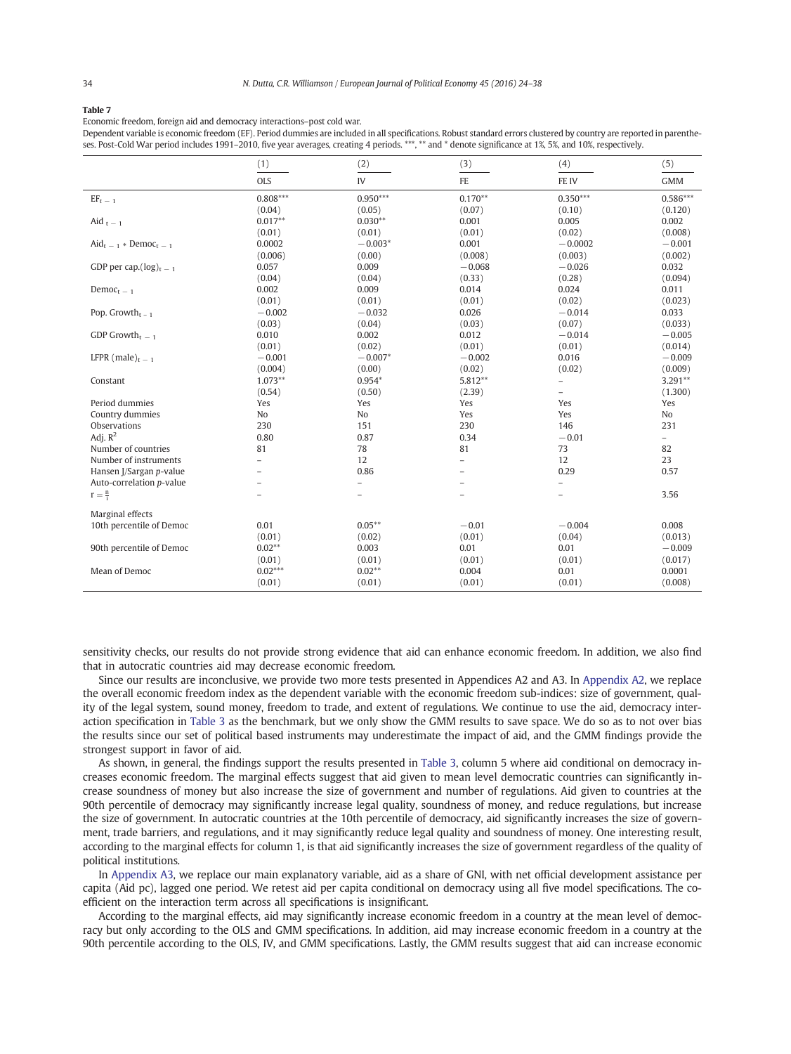<span id="page-10-0"></span>Economic freedom, foreign aid and democracy interactions–post cold war.

Dependent variable is economic freedom (EF). Period dummies are included in all specifications. Robust standard errors clustered by country are reported in parentheses. Post-Cold War period includes 1991–2010, five year averages, creating 4 periods. \*\*\*, \*\* and \* denote significance at 1%, 5%, and 10%, respectively.

|                                         | (1)            | (2)                      | (3)            | (4)                      | (5)               |
|-----------------------------------------|----------------|--------------------------|----------------|--------------------------|-------------------|
|                                         | <b>OLS</b>     | IV                       | FE             | FE IV                    | <b>GMM</b>        |
| $EF_{\rm t}$ $\_$ $_1$                  | $0.808***$     | $0.950***$               | $0.170**$      | $0.350***$               | $0.586***$        |
|                                         | (0.04)         | (0.05)                   | (0.07)         | (0.10)                   | (0.120)           |
| Aid $t = 1$                             | $0.017**$      | $0.030**$                | 0.001          | 0.005                    | 0.002             |
|                                         | (0.01)         | (0.01)                   | (0.01)         | (0.02)                   | (0.008)           |
| $\text{Aid}_{t-1} * \text{DemoC}_{t-1}$ | 0.0002         | $-0.003*$                | 0.001          | $-0.0002$                | $-0.001$          |
|                                         | (0.006)        | (0.00)                   | (0.008)        | (0.003)                  | (0.002)           |
| GDP per cap. $(\log)_{t=1}$             | 0.057          | 0.009                    | $-0.068$       | $-0.026$                 | 0.032             |
|                                         | (0.04)         | (0.04)                   | (0.33)         | (0.28)                   | (0.094)           |
| Democ <sub>t</sub> $=$ 1                | 0.002          | 0.009                    | 0.014          | 0.024                    | 0.011             |
|                                         | (0.01)         | (0.01)                   | (0.01)         | (0.02)                   | (0.023)           |
| Pop. Growth $_{t-1}$                    | $-0.002$       | $-0.032$                 | 0.026          | $-0.014$                 | 0.033             |
|                                         | (0.03)         | (0.04)                   | (0.03)         | (0.07)                   | (0.033)           |
| GDP Growth <sub>t <math>-1</math></sub> | 0.010          | 0.002                    | 0.012          | $-0.014$                 | $-0.005$          |
|                                         | (0.01)         | (0.02)                   | (0.01)         | (0.01)                   | (0.014)           |
| LFPR (male) $_{t=1}$                    | $-0.001$       | $-0.007*$                | $-0.002$       | 0.016                    | $-0.009$          |
|                                         | (0.004)        | (0.00)                   | (0.02)         | (0.02)                   | (0.009)           |
| Constant                                | $1.073**$      | $0.954*$                 | 5.812**        | $\overline{a}$           | $3.291**$         |
|                                         | (0.54)         | (0.50)                   | (2.39)         | $\overline{\phantom{0}}$ | (1.300)           |
| Period dummies                          | Yes            | Yes                      | Yes            | Yes                      | Yes               |
| Country dummies                         | No             | No                       | Yes            | Yes                      | No                |
| Observations                            | 230            | 151                      | 230            | 146                      | 231               |
| Adj. $R^2$                              | 0.80           | 0.87                     | 0.34           | $-0.01$                  | $\qquad \qquad -$ |
| Number of countries                     | 81             | 78                       | 81             | 73                       | 82                |
| Number of instruments                   |                | 12                       | $\overline{a}$ | 12                       | 23                |
| Hansen J/Sargan p-value                 | $\overline{a}$ | 0.86                     | ÷              | 0.29                     | 0.57              |
| Auto-correlation p-value                |                | $\overline{\phantom{0}}$ |                | $\overline{\phantom{m}}$ |                   |
| $r = \frac{n}{1}$                       | $\overline{a}$ | $\overline{\phantom{a}}$ | $\overline{a}$ | $\qquad \qquad -$        | 3.56              |
| Marginal effects                        |                |                          |                |                          |                   |
| 10th percentile of Democ                | 0.01           | $0.05***$                | $-0.01$        | $-0.004$                 | 0.008             |
|                                         | (0.01)         | (0.02)                   | (0.01)         | (0.04)                   | (0.013)           |
| 90th percentile of Democ                | $0.02**$       | 0.003                    | 0.01           | 0.01                     | $-0.009$          |
|                                         | (0.01)         | (0.01)                   | (0.01)         | (0.01)                   | (0.017)           |
| Mean of Democ                           | $0.02***$      | $0.02**$                 | 0.004          | 0.01                     | 0.0001            |
|                                         | (0.01)         | (0.01)                   | (0.01)         | (0.01)                   | (0.008)           |
|                                         |                |                          |                |                          |                   |

sensitivity checks, our results do not provide strong evidence that aid can enhance economic freedom. In addition, we also find that in autocratic countries aid may decrease economic freedom.

Since our results are inconclusive, we provide two more tests presented in Appendices A2 and A3. In Appendix A2, we replace the overall economic freedom index as the dependent variable with the economic freedom sub-indices: size of government, quality of the legal system, sound money, freedom to trade, and extent of regulations. We continue [to use the aid](#page-12-0), democracy interaction specification in Table 3 as the benchmark, but we only show the GMM results to save space. We do so as to not over bias the results since our set of political based instruments may underestimate the impact of aid, and the GMM findings provide the strongest supp[ort in fa](#page-6-0)vor of aid.

As shown, in general, the findings support the results presented in Table 3, column 5 where aid conditional on democracy increases economic freedom. The marginal effects suggest that aid given to mean level democratic countries can significantly increase soundness of money but also increase the size of government and number of regulations. Aid given to countries at the 90th percentile of democracy may significantly increase legal [quality,](#page-6-0) [s](#page-6-0)oundness of money, and reduce regulations, but increase the size of government. In autocratic countries at the 10th percentile of democracy, aid significantly increases the size of government, trade barriers, and regulations, and it may significantly reduce legal quality and soundness of money. One interesting result, according to the marginal effects for column 1, is that aid significantly increases the size of government regardless of the quality of political institutions.

In Appendix A3, we replace our main explanatory variable, aid as a share of GNI, with net official development assistance per capita (Aid pc), lagged one period. We retest aid per capita conditional on democracy using all five model specifications. The coeffi[cient on](#page-13-0) the interaction term across all specifications is insignificant.

According to the marginal effects, aid may significantly increase economic freedom in a country at the mean level of democracy but only according to the OLS and GMM specifications. In addition, aid may increase economic freedom in a country at the 90th percentile according to the OLS, IV, and GMM specifications. Lastly, the GMM results suggest that aid can increase economic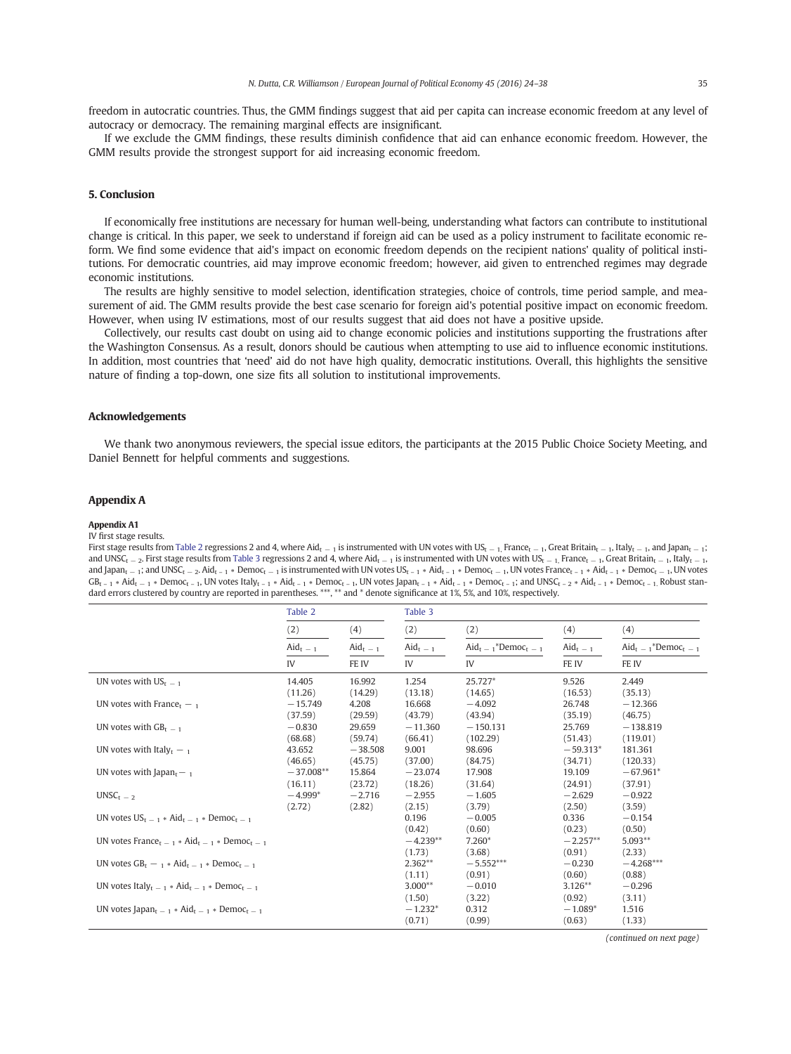<span id="page-11-0"></span>freedom in autocratic countries. Thus, the GMM findings suggest that aid per capita can increase economic freedom at any level of autocracy or democracy. The remaining marginal effects are insignificant.

If we exclude the GMM findings, these results diminish confidence that aid can enhance economic freedom. However, the GMM results provide the strongest support for aid increasing economic freedom.

### 5. Conclusion

If economically free institutions are necessary for human well-being, understanding what factors can contribute to institutional change is critical. In this paper, we seek to understand if foreign aid can be used as a policy instrument to facilitate economic reform. We find some evidence that aid's impact on economic freedom depends on the recipient nations' quality of political institutions. For democratic countries, aid may improve economic freedom; however, aid given to entrenched regimes may degrade economic institutions.

The results are highly sensitive to model selection, identification strategies, choice of controls, time period sample, and measurement of aid. The GMM results provide the best case scenario for foreign aid's potential positive impact on economic freedom. However, when using IV estimations, most of our results suggest that aid does not have a positive upside.

Collectively, our results cast doubt on using aid to change economic policies and institutions supporting the frustrations after the Washington Consensus. As a result, donors should be cautious when attempting to use aid to influence economic institutions. In addition, most countries that 'need' aid do not have high quality, democratic institutions. Overall, this highlights the sensitive nature of finding a top-down, one size fits all solution to institutional improvements.

#### Acknowledgements

We thank two anonymous reviewers, the special issue editors, the participants at the 2015 Public Choice Society Meeting, and Daniel Bennett for helpful comments and suggestions.

### Appendix A

#### Appendix A1

#### IV first stage results.

First stage results from Table 2 regressions 2 and 4, where Aid<sub>t −1</sub> is instrumented with UN votes with US<sub>t −1</sub>, France<sub>t −1</sub>, Great Britain<sub>t −1</sub>, Italy<sub>t −1</sub>, and Japan<sub>t −1</sub>; and UNSC<sub>t − 2</sub>. First stage results from Table 3 regressions 2 and 4, where Aid<sub>t − 1</sub> is instrumented with UN votes with US<sub>t − 1</sub>, France<sub>t − 1</sub>, Great Britain<sub>t − 1</sub>, Italy<sub>t</sub> − 1, and Japan<sub>t</sub> – 1; and UNSC<sub>t</sub> – 2. Aid<sub>t – 1</sub> \* Democ<sub>t</sub> – 1 is instrumented with UN votes US<sub>t – 1</sub> \* Aid<sub>t – 1</sub> \* Democ<sub>t</sub> – 1, UN votes France<sub>t – 1</sub> \* Aid<sub>t – 1</sub> \* Democ<sub>t</sub> – 1, UN votes  $GB_{t-1} * Aid_{t-1} * Democ_{t-1}$  $GB_{t-1} * Aid_{t-1} * Democ_{t-1}$  $GB_{t-1} * Aid_{t-1} * Democ_{t-1}$ , UN votes  $ltaIly_{t-1} * Aid_{t-1} * Democ_{t-1}$ , UN votes Japan<sub>t-1</sub> \*  $Aid_{t-1} * Democ_{t-1}$ ; and UNSC<sub>t-2</sub> \*  $Aid_{t-1} * Democ_{t-1}$ , Robust standard errors clustered by cou[ntry are](#page-6-0) reported in parentheses. \*\*\*, \*\* and \* denote significance at 1%, 5%, and 10%, respectively.

|                                                                                           | Table 2            |                              | Table 3            |                                             |                    |                                           |
|-------------------------------------------------------------------------------------------|--------------------|------------------------------|--------------------|---------------------------------------------|--------------------|-------------------------------------------|
|                                                                                           | (2)                | (4)                          | (2)                | (2)                                         | (4)                | (4)                                       |
|                                                                                           | $\text{A}id_{t-1}$ | $\text{A} \text{id}_{t} = 1$ | $\text{A}id_{t-1}$ | $\text{Aid}_{t-1}^*$ Democ <sub>t - 1</sub> | $\text{A}id_{t-1}$ | $\text{Aid}_{t-1}^*$ Democ <sub>t-1</sub> |
|                                                                                           | IV                 | FE IV                        | IV                 | IV                                          | FE IV              | FE IV                                     |
| UN votes with $US_{t-1}$                                                                  | 14.405             | 16.992                       | 1.254              | 25.727*                                     | 9.526              | 2.449                                     |
|                                                                                           | (11.26)            | (14.29)                      | (13.18)            | (14.65)                                     | (16.53)            | (35.13)                                   |
| UN votes with France <sub>t</sub> $-$ 1                                                   | $-15,749$          | 4.208                        | 16.668             | $-4.092$                                    | 26.748             | $-12,366$                                 |
|                                                                                           | (37.59)            | (29.59)                      | (43.79)            | (43.94)                                     | (35.19)            | (46.75)                                   |
| UN votes with $GB_{t-1}$                                                                  | $-0.830$           | 29.659                       | $-11,360$          | $-150.131$                                  | 25.769             | $-138.819$                                |
|                                                                                           | (68.68)            | (59.74)                      | (66.41)            | (102.29)                                    | (51.43)            | (119.01)                                  |
| UN votes with Italy $_{1} -$ <sub>1</sub>                                                 | 43.652             | $-38,508$                    | 9.001              | 98.696                                      | $-59.313*$         | 181.361                                   |
|                                                                                           | (46.65)            | (45.75)                      | (37.00)            | (84.75)                                     | (34.71)            | (120.33)                                  |
| UN votes with Japan $_{1}$ – $_{1}$                                                       | $-37.008**$        | 15.864                       | $-23.074$          | 17.908                                      | 19.109             | $-67.961*$                                |
|                                                                                           | (16.11)            | (23.72)                      | (18.26)            | (31.64)                                     | (24.91)            | (37.91)                                   |
| $UNSCt-2$                                                                                 | $-4.999*$          | $-2.716$                     | $-2.955$           | $-1.605$                                    | $-2.629$           | $-0.922$                                  |
|                                                                                           | (2.72)             | (2.82)                       | (2.15)             | (3.79)                                      | (2.50)             | (3.59)                                    |
| UN votes $US_{t-1}$ * Aid <sub>t - 1</sub> * Democ <sub>t - 1</sub>                       |                    |                              | 0.196              | $-0.005$                                    | 0.336              | $-0.154$                                  |
|                                                                                           |                    |                              | (0.42)             | (0.60)                                      | (0.23)             | (0.50)                                    |
| UN votes France <sub>t = 1</sub> $*$ Aid <sub>t = 1</sub> $*$ Democ <sub>t = 1</sub>      |                    |                              | $-4.239**$         | $7.260*$                                    | $-2.257**$         | $5.093**$                                 |
|                                                                                           |                    |                              | (1.73)             | (3.68)                                      | (0.91)             | (2.33)                                    |
| UN votes $GB_t - 1 * Add_t = 1 * Democ_t = 1$                                             |                    |                              | $2.362**$          | $-5.552***$                                 | $-0.230$           | $-4.268***$                               |
|                                                                                           |                    |                              | (1.11)             | (0.91)                                      | (0.60)             | (0.88)                                    |
| UN votes Italy <sub>t - 1</sub> * Aid <sub>t - 1</sub> * Democ <sub>t - 1</sub>           |                    |                              | $3.000**$          | $-0.010$                                    | $3.126**$          | $-0.296$                                  |
|                                                                                           |                    |                              | (1.50)             | (3.22)                                      | (0.92)             | (3.11)                                    |
| UN votes Japan <sub>t = 1</sub> $\ast$ Aid <sub>t = 1</sub> $\ast$ Democ <sub>t = 1</sub> |                    |                              | $-1.232*$          | 0.312                                       | $-1.089*$          | 1.516                                     |
|                                                                                           |                    |                              | (0.71)             | (0.99)                                      | (0.63)             | (1.33)                                    |

(continued on next page)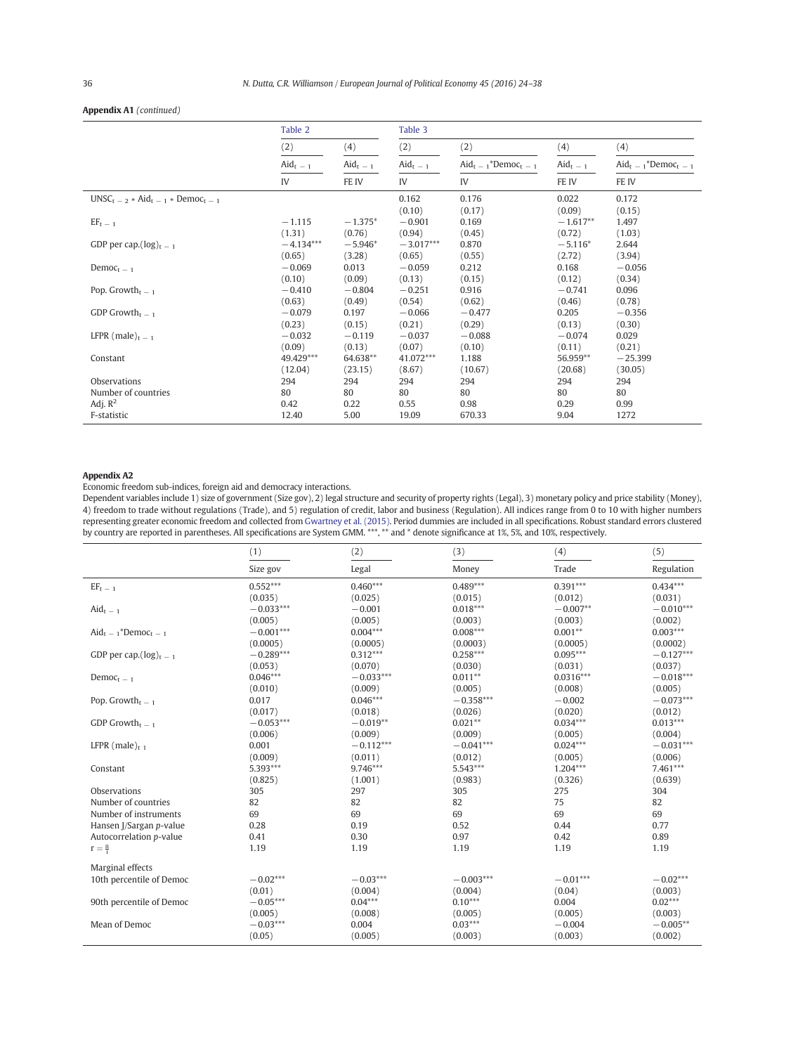### <span id="page-12-0"></span>Appendix A1 (continued)

|                                          | Table 2                    |                    | Table 3            |                                             |                            |                                             |
|------------------------------------------|----------------------------|--------------------|--------------------|---------------------------------------------|----------------------------|---------------------------------------------|
|                                          | (2)                        | (4)                | (2)                | (2)                                         | (4)                        | (4)                                         |
|                                          | $\text{A} \text{id}_{t-1}$ | $\text{A}id_{t-1}$ | $\text{A}id_{t-1}$ | $\text{Aid}_{t-1}^*$ Democ <sub>t - 1</sub> | $\text{A} \text{id}_{t-1}$ | $\text{Aid}_{t-1}^*$ Democ <sub>t - 1</sub> |
|                                          | IV                         | FE IV              | IV                 | IV                                          | FE IV                      | FE IV                                       |
| $UNSC_{t-2} * Aid_{t-1} * Democ_{t-1}$   |                            |                    | 0.162              | 0.176                                       | 0.022                      | 0.172                                       |
|                                          |                            |                    | (0.10)             | (0.17)                                      | (0.09)                     | (0.15)                                      |
| $EF_{t-1}$                               | $-1.115$                   | $-1.375*$          | $-0.901$           | 0.169                                       | $-1.617**$                 | 1.497                                       |
|                                          | (1.31)                     | (0.76)             | (0.94)             | (0.45)                                      | (0.72)                     | (1.03)                                      |
| GDP per cap. $(log)_{t=1}$               | $-4.134***$                | $-5.946*$          | $-3.017***$        | 0.870                                       | $-5.116*$                  | 2.644                                       |
|                                          | (0.65)                     | (3.28)             | (0.65)             | (0.55)                                      | (2.72)                     | (3.94)                                      |
| $Democt-1$                               | $-0.069$                   | 0.013              | $-0.059$           | 0.212                                       | 0.168                      | $-0.056$                                    |
|                                          | (0.10)                     | (0.09)             | (0.13)             | (0.15)                                      | (0.12)                     | (0.34)                                      |
| Pop. Growth <sub>t <math>-1</math></sub> | $-0.410$                   | $-0.804$           | $-0.251$           | 0.916                                       | $-0.741$                   | 0.096                                       |
|                                          | (0.63)                     | (0.49)             | (0.54)             | (0.62)                                      | (0.46)                     | (0.78)                                      |
| GDP Growth <sub>t <math>-1</math></sub>  | $-0.079$                   | 0.197              | $-0.066$           | $-0.477$                                    | 0.205                      | $-0.356$                                    |
|                                          | (0.23)                     | (0.15)             | (0.21)             | (0.29)                                      | (0.13)                     | (0.30)                                      |
| LFPR (male) $t - 1$                      | $-0.032$                   | $-0.119$           | $-0.037$           | $-0.088$                                    | $-0.074$                   | 0.029                                       |
|                                          | (0.09)                     | (0.13)             | (0.07)             | (0.10)                                      | (0.11)                     | (0.21)                                      |
| Constant                                 | 49.429***                  | 64.638**           | 41.072***          | 1.188                                       | 56.959**                   | $-25.399$                                   |
|                                          | (12.04)                    | (23.15)            | (8.67)             | (10.67)                                     | (20.68)                    | (30.05)                                     |
| Observations                             | 294                        | 294                | 294                | 294                                         | 294                        | 294                                         |
| Number of countries                      | 80                         | 80                 | 80                 | 80                                          | 80                         | 80                                          |
| Adj. $R^2$                               | 0.42                       | 0.22               | 0.55               | 0.98                                        | 0.29                       | 0.99                                        |
| F-statistic                              | 12.40                      | 5.00               | 19.09              | 670.33                                      | 9.04                       | 1272                                        |

#### Appendix A2

J.

Economic freedom sub-indices, foreign aid and democracy interactions.

Dependent variables include 1) size of government (Size gov), 2) legal structure and security of property rights (Legal), 3) monetary policy and price stability (Money), 4) freedom to trade without regulations (Trade), and 5) regulation of credit, labor and business (Regulation). All indices range from 0 to 10 with higher numbers representing greater economic freedom and collected from Gwartney et al. (2015). Period dummies are included in all specifications. Robust standard errors clustered by country are reported in parentheses. All specifications are System GMM. \*\*\*, \*\* and \* denote significance at 1%, 5%, and 10%, respectively.

|                                             | (1)         | (2)         | (3)         | (4)         | (5)         |
|---------------------------------------------|-------------|-------------|-------------|-------------|-------------|
|                                             | Size gov    | Legal       | Money       | Trade       | Regulation  |
| $EF_{\rm t}$ $=$ $_1$                       | $0.552***$  | $0.460***$  | $0.489***$  | $0.391***$  | $0.434***$  |
|                                             | (0.035)     | (0.025)     | (0.015)     | (0.012)     | (0.031)     |
| $\text{A}id_{t-1}$                          | $-0.033***$ | $-0.001$    | $0.018***$  | $-0.007**$  | $-0.010***$ |
|                                             | (0.005)     | (0.005)     | (0.003)     | (0.003)     | (0.002)     |
| $\text{Aid}_{t-1}^*$ Democ <sub>t - 1</sub> | $-0.001***$ | $0.004***$  | $0.008***$  | $0.001**$   | $0.003***$  |
|                                             | (0.0005)    | (0.0005)    | (0.0003)    | (0.0005)    | (0.0002)    |
| GDP per cap. $(\log)_{t-1}$                 | $-0.289***$ | $0.312***$  | $0.258***$  | $0.095***$  | $-0.127***$ |
|                                             | (0.053)     | (0.070)     | (0.030)     | (0.031)     | (0.037)     |
| Democ <sub>t – 1</sub>                      | $0.046***$  | $-0.033***$ | $0.011**$   | $0.0316***$ | $-0.018***$ |
|                                             | (0.010)     | (0.009)     | (0.005)     | (0.008)     | (0.005)     |
| Pop. Growth <sub>t <math>-1</math></sub>    | 0.017       | $0.046***$  | $-0.358***$ | $-0.002$    | $-0.073***$ |
|                                             | (0.017)     | (0.018)     | (0.026)     | (0.020)     | (0.012)     |
| GDP Growth $_{t=1}$                         | $-0.053***$ | $-0.019**$  | $0.021**$   | $0.034***$  | $0.013***$  |
|                                             | (0.006)     | (0.009)     | (0.009)     | (0.005)     | (0.004)     |
| LFPR $(male)_{t-1}$                         | 0.001       | $-0.112***$ | $-0.041***$ | $0.024***$  | $-0.031***$ |
|                                             | (0.009)     | (0.011)     | (0.012)     | (0.005)     | (0.006)     |
| Constant                                    | 5.393***    | 9.746***    | 5.543***    | $1.204***$  | 7.461***    |
|                                             | (0.825)     | (1.001)     | (0.983)     | (0.326)     | (0.639)     |
| Observations                                | 305         | 297         | 305         | 275         | 304         |
| Number of countries                         | 82          | 82          | 82          | 75          | 82          |
| Number of instruments                       | 69          | 69          | 69          | 69          | 69          |
| Hansen J/Sargan p-value                     | 0.28        | 0.19        | 0.52        | 0.44        | 0.77        |
| Autocorrelation p-value                     | 0.41        | 0.30        | 0.97        | 0.42        | 0.89        |
| $r = \frac{n}{i}$                           | 1.19        | 1.19        | 1.19        | 1.19        | 1.19        |
| Marginal effects                            |             |             |             |             |             |
| 10th percentile of Democ                    | $-0.02***$  | $-0.03***$  | $-0.003***$ | $-0.01***$  | $-0.02***$  |
|                                             | (0.01)      | (0.004)     | (0.004)     | (0.04)      | (0.003)     |
| 90th percentile of Democ                    | $-0.05***$  | $0.04***$   | $0.10***$   | 0.004       | $0.02***$   |
|                                             | (0.005)     | (0.008)     | (0.005)     | (0.005)     | (0.003)     |
| Mean of Democ                               | $-0.03***$  | 0.004       | $0.03***$   | $-0.004$    | $-0.005**$  |
|                                             | (0.05)      | (0.005)     | (0.003)     | (0.003)     | (0.002)     |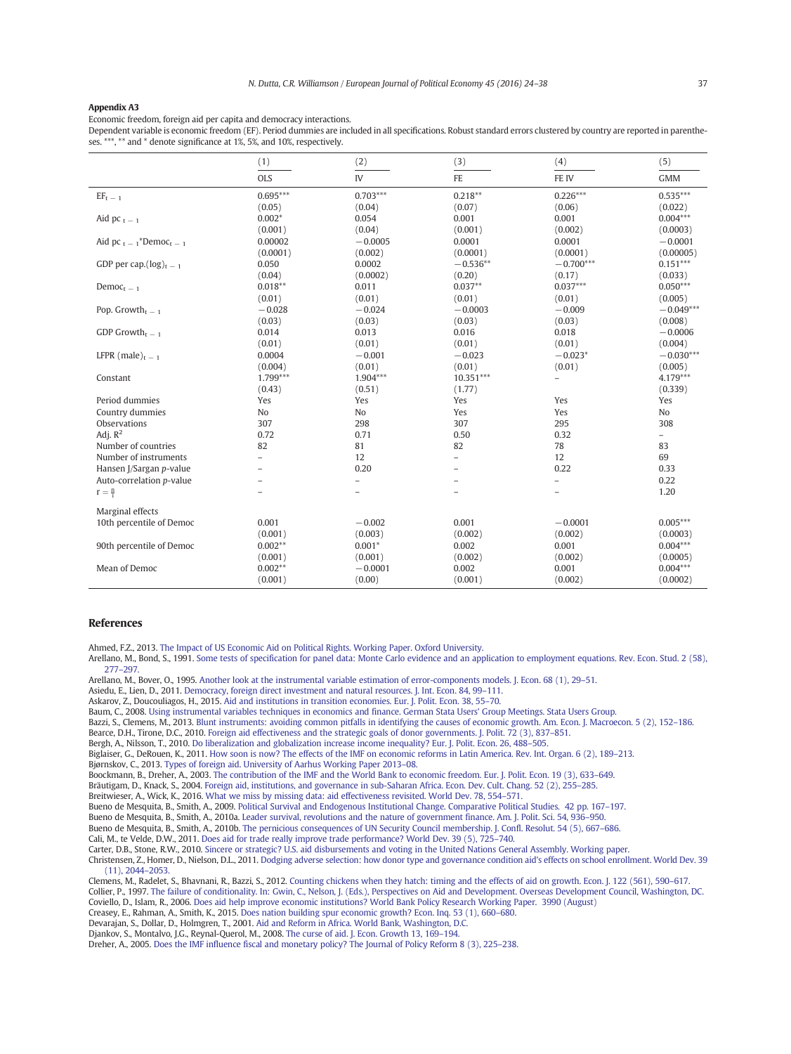#### <span id="page-13-0"></span>Appendix A3

Economic freedom, foreign aid per capita and democracy interactions.

Dependent variable is economic freedom (EF). Period dummies are included in all specifications. Robust standard errors clustered by country are reported in parentheses. \*\*\*, \*\* and \* denote significance at 1%, 5%, and 10%, respectively.

|                                                    | (1)                      | (2)                      | (3)                      | (4)                      | (5)                      |
|----------------------------------------------------|--------------------------|--------------------------|--------------------------|--------------------------|--------------------------|
|                                                    | <b>OLS</b>               | IV                       | FE                       | FE IV                    | <b>GMM</b>               |
| $EF_t = 1$                                         | $0.695***$               | $0.703***$               | $0.218**$                | $0.226***$               | $0.535***$               |
|                                                    | (0.05)                   | (0.04)                   | (0.07)                   | (0.06)                   | (0.022)                  |
| Aid pc $t - 1$                                     | $0.002*$                 | 0.054                    | 0.001                    | 0.001                    | $0.004***$               |
|                                                    | (0.001)                  | (0.04)                   | (0.001)                  | (0.002)                  | (0.0003)                 |
| Aid pc $t = 1$ <sup>*</sup> Democ <sub>t</sub> = 1 | 0.00002                  | $-0.0005$                | 0.0001                   | 0.0001                   | $-0.0001$                |
|                                                    | (0.0001)                 | (0.002)                  | (0.0001)                 | (0.0001)                 | (0.00005)                |
| GDP per cap. $(\log)_{t=1}$                        | 0.050                    | 0.0002                   | $-0.536**$               | $-0.700***$              | $0.151***$               |
|                                                    | (0.04)                   | (0.0002)                 | (0.20)                   | (0.17)                   | (0.033)                  |
| Democ <sub>t</sub> $-1$                            | $0.018**$                | 0.011                    | $0.037**$                | $0.037***$               | $0.050***$               |
|                                                    | (0.01)                   | (0.01)                   | (0.01)                   | (0.01)                   | (0.005)                  |
| Pop. Growth <sub>t <math>-1</math></sub>           | $-0.028$                 | $-0.024$                 | $-0.0003$                | $-0.009$                 | $-0.049***$              |
|                                                    | (0.03)                   | (0.03)                   | (0.03)                   | (0.03)                   | (0.008)                  |
| GDP Growth <sub>t <math>-1</math></sub>            | 0.014                    | 0.013                    | 0.016                    | 0.018                    | $-0.0006$                |
|                                                    | (0.01)                   | (0.01)                   | (0.01)                   | (0.01)                   | (0.004)                  |
| LFPR (male) $_{t=1}$                               | 0.0004                   | $-0.001$                 | $-0.023$                 | $-0.023*$                | $-0.030***$              |
|                                                    | (0.004)                  | (0.01)                   | (0.01)                   | (0.01)                   | (0.005)                  |
| Constant                                           | $1.799***$               | $1.904***$               | $10.351***$              | $\overline{\phantom{0}}$ | $4.179***$               |
|                                                    | (0.43)                   | (0.51)                   | (1.77)                   |                          | (0.339)                  |
| Period dummies                                     | Yes                      | Yes                      | Yes                      | Yes                      | Yes                      |
| Country dummies                                    | No                       | No                       | Yes                      | Yes                      | No                       |
| Observations                                       | 307                      | 298                      | 307                      | 295                      | 308                      |
| Adj. $R^2$                                         | 0.72                     | 0.71                     | 0.50                     | 0.32                     | $\overline{\phantom{0}}$ |
| Number of countries                                | 82                       | 81                       | 82                       | 78                       | 83                       |
| Number of instruments                              | $\overline{a}$           | 12                       | $\overline{\phantom{0}}$ | 12                       | 69                       |
| Hansen J/Sargan p-value                            | ÷                        | 0.20                     |                          | 0.22                     | 0.33                     |
| Auto-correlation p-value                           | ۳                        | $\overline{\phantom{0}}$ | $\overline{\phantom{0}}$ | $\overline{\phantom{0}}$ | 0.22                     |
| $r = \frac{n}{i}$                                  | $\overline{\phantom{0}}$ | ÷,                       | $\overline{\phantom{0}}$ | $\overline{\phantom{0}}$ | 1.20                     |
| Marginal effects                                   |                          |                          |                          |                          |                          |
| 10th percentile of Democ                           | 0.001                    | $-0.002$                 | 0.001                    | $-0.0001$                | $0.005***$               |
|                                                    | (0.001)                  | (0.003)                  | (0.002)                  | (0.002)                  | (0.0003)                 |
| 90th percentile of Democ                           | $0.002**$                | $0.001*$                 | 0.002                    | 0.001                    | $0.004***$               |
|                                                    | (0.001)                  | (0.001)                  | (0.002)                  | (0.002)                  | (0.0005)                 |
| Mean of Democ                                      | $0.002**$                | $-0.0001$                | 0.002                    | 0.001                    | $0.004***$               |
|                                                    | (0.001)                  | (0.00)                   | (0.001)                  | (0.002)                  | (0.0002)                 |
|                                                    |                          |                          |                          |                          |                          |

#### References

Ahmed, F.Z., 2013. The Impact of US Economic Aid on Political Rights. Working Paper. Oxford University.

Arellano, M., Bond, S., 1991. Some tests of specification for panel data: Monte Carlo evidence and an application to employment equations. Rev. Econ. Stud. 2 (58), 277–297.

Arellano, M., Bover, O., 1995. [Another look at the instrumental variable estimation of error-com](http://refhub.elsevier.com/S0176-2680(16)30104-5/rf0005)ponents models. J. Econ. 68 (1), 29–51.

- Asiedu, E., Lien, D., 2011. [Democracy, foreign direct investment and natural resources. J. Int. Econ. 84, 99](http://refhub.elsevier.com/S0176-2680(16)30104-5/rf0010)–111.
- [Aska](http://refhub.elsevier.com/S0176-2680(16)30104-5/rf0010)rov, Z., Doucouliagos, H., 2015. Aid and institutions in transition economies. Eur. J. Polit. Econ. 38, 55–70.

Baum, C., 2008. Usin[g instrumental variables techniques in economics and finance. German Stata Users](http://refhub.elsevier.com/S0176-2680(16)30104-5/rf0015)' [Group Meetings. Stata](http://refhub.elsevier.com/S0176-2680(16)30104-5/rf0015) Users Group.

Bazzi, S., Clemens, M., 2013. [Blunt instruments: avoiding common pitfalls in identifying the causes o](http://refhub.elsevier.com/S0176-2680(16)30104-5/rf0020)f economic growth. Am. Econ. J. Macroecon. 5 (2), 152–186.

Bearce, D.H., Tirone, D.C., 2010. [Foreign aid effectiveness and the strategic goals of donor governmen](http://refhub.elsevier.com/S0176-2680(16)30104-5/rf0025)ts. J. Polit. 72 (3), 837–851.

Bergh, A., Nilsson, T., 2010. [Do liberalization and globalization increase income inequality? Eur. J. Polit. Econ. 26, 488](http://refhub.elsevier.com/S0176-2680(16)30104-5/rf0030)–505.

Biglaiser, G., DeRouen, K., 2011. [How soon is now? The effects of the IMF on economic reforms in Latin America. Rev. Int. Organ. 6 \(2\), 189](http://refhub.elsevier.com/S0176-2680(16)30104-5/rf0035)–213.

Bjørnskov, C., 2013. Ty[pes of foreign aid. University of Aarhus Working Paper 2013](http://refhub.elsevier.com/S0176-2680(16)30104-5/rf0040)–08.

Boockmann, B., Dreher, A., 2003. [The contribution of the IMF and the World Bank to economic freedom. Eur. J. P](http://refhub.elsevier.com/S0176-2680(16)30104-5/rf0045)olit. Econ. 19 (3), 633–649.

Bräutigam, D., Knack, S., 2004. [Foreign aid, institutions, and governance in sub-Saharan Africa. Econ. Dev. Cult. Chang. 52 \(2\), 255](http://refhub.elsevier.com/S0176-2680(16)30104-5/rf0050)–285.

Breitwieser, A., Wick, K., 2016. [What we miss by missing data: aid effectivenes](http://refhub.elsevier.com/S0176-2680(16)30104-5/rf0055)s revisited. World Dev. 78, 554–571.

Bueno de Mesquita, B., Smith, A., 2009. [Political Survival and Endogenous Institutional Change. Comparative Political Studies. 42 p](http://refhub.elsevier.com/S0176-2680(16)30104-5/rf0065)p. 167–197.

Bueno de Mesquita, B., Smith, A., 2010a. [Leader survival, revolutions and the nature of government finance. Am. J. Polit. Sci. 5](http://refhub.elsevier.com/S0176-2680(16)30104-5/rf0070)4, 936–950.

Bueno de Mesquita, B., Smith, A., 2010b. [The pernicious consequences of UN Security Council membership](http://refhub.elsevier.com/S0176-2680(16)30104-5/rf0075). J. Confl. Resolut. 54 (5), 667–686.

Cali, M., te Velde, D.W., 2011. [Does aid for trade really improve trade performance? World Dev. 39 \(5\), 725](http://refhub.elsevier.com/S0176-2680(16)30104-5/rf0080)–740.

Carter, D.B., Stone, R.W., 2010. [Sincere or strategic? U.S. aid disbursements and voting in the United Nations General Assembly.](http://refhub.elsevier.com/S0176-2680(16)30104-5/rf0085) Working paper.

Christensen, Z., Homer, D., Nielson, D.L., 2011. [Dodging adverse selection: how donor type and governance condition aid](http://refhub.elsevier.com/S0176-2680(16)30104-5/rf0090)'[s effects on sc](http://refhub.elsevier.com/S0176-2680(16)30104-5/rf0090)hool enrollment. World Dev. 39 (11), 2044–2053.

Clemens, M., Radelet, S., Bhavnani, R., Bazzi, S., 2012. [Counting chickens when they hatch: timing and the effects of aid on growth. Eco](http://refhub.elsevier.com/S0176-2680(16)30104-5/rf0100)n. J. 122 (561), 590–617. Collier, P., 1997. The failure of condi[tionality. In: Gwin, C., Nelson, J. \(Eds.\), Perspectives on Aid and Development. Overseas Development Council, Washing](http://refhub.elsevier.com/S0176-2680(16)30104-5/rf0105)ton, DC.

[Coviello, D.,](http://refhub.elsevier.com/S0176-2680(16)30104-5/rf0105) Islam, R., 2006. Does aid help improve economic institutions? World Bank Policy Research Working Paper. 3990 (August)

Creasey, E., Rahman, A., Smith, K., 2015. Doe[s nation building spur economic growth? Econ. Inq. 53 \(1\), 660](http://refhub.elsevier.com/S0176-2680(16)30104-5/rf0110)–680.

Devarajan, S., Dollar, D., Holmgren, T., 2001. [Aid and Reform in Africa. World Bank, Washington, D.C.](http://refhub.elsevier.com/S0176-2680(16)30104-5/rf0115)

Djankov, S., Montalvo, J.G., Reynal-Querol, M., 2008. [The curse of aid. J. Econ. Growth 13, 169](http://refhub.elsevier.com/S0176-2680(16)30104-5/rf0120)–194.

Dreher, A., 2005. Does the IMF [influence fiscal and monetary policy? The Journal of Policy Reform 8 \(3\),](http://refhub.elsevier.com/S0176-2680(16)30104-5/rf0125) 225–238.